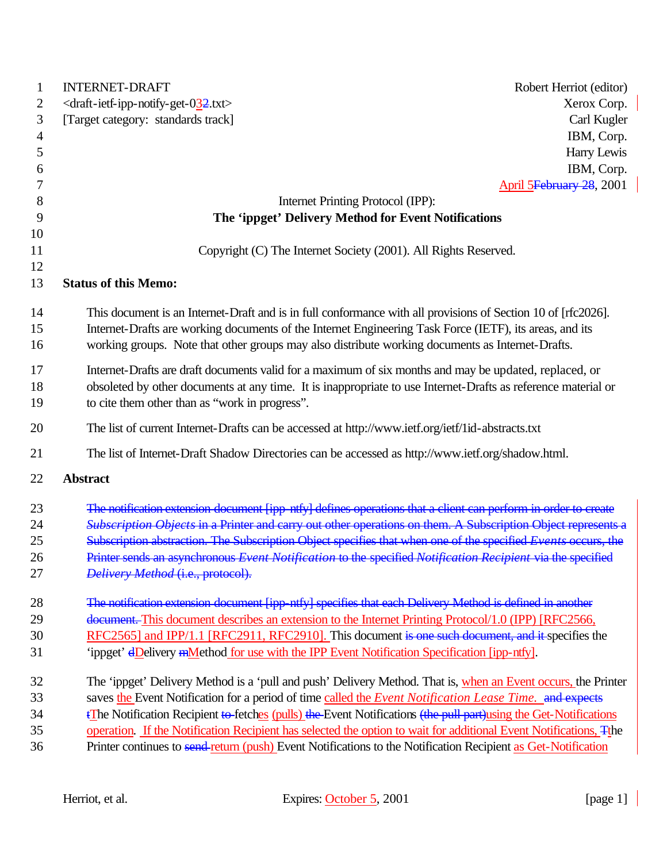| 1              | <b>INTERNET-DRAFT</b><br>Robert Herriot (editor)                                                                                     |
|----------------|--------------------------------------------------------------------------------------------------------------------------------------|
| 2              | <draft-ietf-ipp-notify-get-032.txt><br/>Xerox Corp.</draft-ietf-ipp-notify-get-032.txt>                                              |
| 3              | [Target category: standards track]<br>Carl Kugler                                                                                    |
| $\overline{4}$ | IBM, Corp.                                                                                                                           |
| 5              | Harry Lewis                                                                                                                          |
| 6              | IBM, Corp.                                                                                                                           |
| 7              | April 5February 28, 2001                                                                                                             |
| 8              | Internet Printing Protocol (IPP):                                                                                                    |
| 9              | The 'ippget' Delivery Method for Event Notifications                                                                                 |
| 10             |                                                                                                                                      |
| 11             | Copyright (C) The Internet Society (2001). All Rights Reserved.                                                                      |
| 12<br>13       | <b>Status of this Memo:</b>                                                                                                          |
|                |                                                                                                                                      |
| 14             | This document is an Internet-Draft and is in full conformance with all provisions of Section 10 of [rfc2026].                        |
| 15             | Internet-Drafts are working documents of the Internet Engineering Task Force (IETF), its areas, and its                              |
| 16             | working groups. Note that other groups may also distribute working documents as Internet-Drafts.                                     |
| 17             | Internet-Drafts are draft documents valid for a maximum of six months and may be updated, replaced, or                               |
| 18             | obsoleted by other documents at any time. It is inappropriate to use Internet-Drafts as reference material or                        |
| 19             | to cite them other than as "work in progress".                                                                                       |
| 20             | The list of current Internet-Drafts can be accessed at http://www.ietf.org/ietf/1id-abstracts.txt                                    |
| 21             | The list of Internet-Draft Shadow Directories can be accessed as http://www.ietf.org/shadow.html.                                    |
| 22             | <b>Abstract</b>                                                                                                                      |
| 23             | The notification extension document [ipp-ntfy] defines operations that a client can perform in order to create                       |
| 24             | Subscription Objects in a Printer and carry out other operations on them. A Subscription Object represents a                         |
| 25             | Subscription abstraction. The Subscription Object specifies that when one of the specified Events occurs, the                        |
| 26             | Printer sends an asynchronous Event Notification to the specified Notification Recipient via the specified                           |
| 27             | Delivery Method (i.e., protocol).                                                                                                    |
| 28             | The notification extension document [ipp-ntfy] specifies that each Delivery Method is defined in another                             |
| 29             | document. This document describes an extension to the Internet Printing Protocol/1.0 (IPP) [RFC2566,                                 |
| 30             | RFC2565] and IPP/1.1 [RFC2911, RFC2910]. This document is one such document, and it specifies the                                    |
| 31             | 'ippget' dDelivery mMethod for use with the IPP Event Notification Specification [ipp-ntfy].                                         |
| 32             | The 'ippget' Delivery Method is a 'pull and push' Delivery Method. That is, when an Event occurs, the Printer                        |
| 33             | saves the Event Notification for a period of time called the Event Notification Lease Time. and expects                              |
| 34             | <sup><i>EThe</i> Notification Recipient to fetches (pulls) the Event Notifications (the pull part) using the Get-Notifications</sup> |
| 35             | operation. If the Notification Recipient has selected the option to wait for additional Event Notifications, The                     |
| 36             | Printer continues to send-return (push) Event Notifications to the Notification Recipient as Get-Notification                        |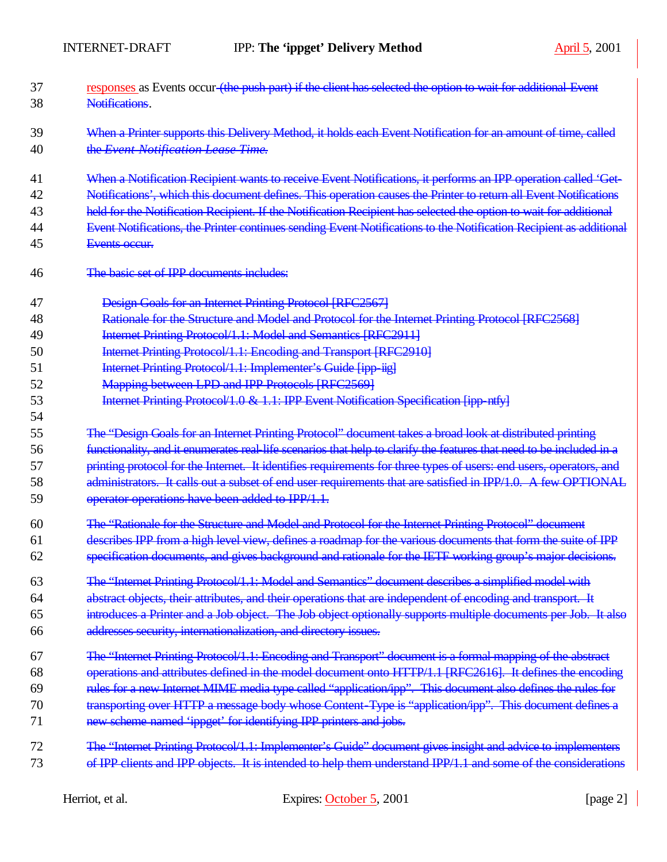| 37 | responses as Events occur (the push part) if the client has selected the option to wait for additional Event         |
|----|----------------------------------------------------------------------------------------------------------------------|
| 38 | Notifications.                                                                                                       |
| 39 | When a Printer supports this Delivery Method, it holds each Event Notification for an amount of time, called         |
| 40 | the Event Notification Lease Time.                                                                                   |
| 41 | When a Notification Recipient wants to receive Event Notifications, it performs an IPP operation called 'Get-        |
| 42 | Notifications', which this document defines. This operation causes the Printer to return all Event Notifications     |
| 43 | held for the Notification Recipient. If the Notification Recipient has selected the option to wait for additional    |
| 44 | Event Notifications, the Printer continues sending Event Notifications to the Notification Recipient as additional   |
| 45 | Events occur.                                                                                                        |
| 46 | The basic set of IPP documents includes:                                                                             |
| 47 | Design Goals for an Internet Printing Protocol [RFC2567]                                                             |
| 48 | Rationale for the Structure and Model and Protocol for the Internet Printing Protocol [RFC2568]                      |
| 49 | Internet Printing Protocol/1.1: Model and Semantics [RFC2911]                                                        |
| 50 | Internet Printing Protocol/1.1: Encoding and Transport [RFC2910]                                                     |
| 51 | Internet Printing Protocol/1.1: Implementer's Guide [ipp-iig]                                                        |
| 52 | Mapping between LPD and IPP Protocols [RFC2569]                                                                      |
| 53 | Internet Printing Protocol/1.0 & 1.1: IPP Event Notification Specification [ipp-ntfy]                                |
| 54 |                                                                                                                      |
| 55 | The "Design Goals for an Internet Printing Protocol" document takes a broad look at distributed printing             |
| 56 | functionality, and it enumerates real-life scenarios that help to clarify the features that need to be included in a |
| 57 | printing protocol for the Internet. It identifies requirements for three types of users: end users, operators, and   |
| 58 | administrators. It calls out a subset of end user requirements that are satisfied in IPP/1.0. A few OPTIONAL         |
| 59 | operator operations have been added to IPP/1.1.                                                                      |
| 60 | The "Rationale for the Structure and Model and Protocol for the Internet Printing Protocol" document                 |
| 61 | describes IPP from a high level view, defines a roadmap for the various documents that form the suite of IPP         |
| 62 | specification documents, and gives background and rationale for the IETF working group's major decisions.            |
| 63 | The "Internet Printing Protocol/1.1: Model and Semantics" document describes a simplified model with                 |
| 64 | abstract objects, their attributes, and their operations that are independent of encoding and transport. It          |
| 65 | introduces a Printer and a Job object. The Job object optionally supports multiple documents per Job. It also        |
| 66 | addresses security, internationalization, and directory issues.                                                      |
| 67 | The "Internet Printing Protocol/1.1: Encoding and Transport" document is a formal mapping of the abstract            |
| 68 | operations and attributes defined in the model document onto HTTP/1.1 [RFC2616]. It defines the encoding             |
| 69 | rules for a new Internet MIME media type called "application/ipp". This document also defines the rules for          |
| 70 | transporting over HTTP a message body whose Content-Type is "application/ipp". This document defines a               |
| 71 | new scheme named 'ippget' for identifying IPP printers and jobs.                                                     |
| 72 | The "Internet Printing Protocol/1.1: Implementer's Guide" document gives insight and advice to implementers          |
| 73 | of IPP clients and IPP objects. It is intended to help them understand IPP/1.1 and some of the considerations        |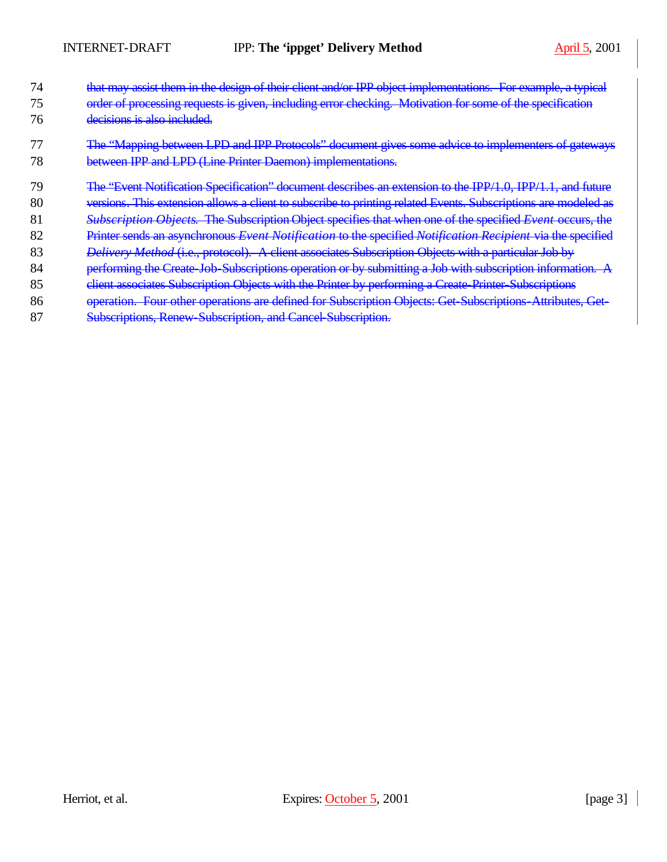- 74 that may assist them in the design of their client and/or IPP object implementations. For example, a typical
- 75 order of processing requests is given, including error checking. Motivation for some of the specification 76 decisions is also included.
- 77 The "Mapping between LPD and IPP Protocols" document gives some advice to implementers of gateways 78 between IPP and LPD (Line Printer Daemon) implementations.
- 79 The "Event Notification Specification" document describes an extension to the IPP/1.0, IPP/1.1, and future
- 80 versions. This extension allows a client to subscribe to printing related Events. Subscriptions are modeled as
- 81 *Subscription Objects*. The Subscription Object specifies that when one of the specified *Event* occurs, the
- 82 Printer sends an asynchronous *Event Notification* to the specified *Notification Recipient* via the specified
- 83 *Delivery Method* (i.e., protocol). A client associates Subscription Objects with a particular Job by
- 84 performing the Create-Job-Subscriptions operation or by submitting a Job with subscription information. A
- 85 client associates Subscription Objects with the Printer by performing a Create-Printer-Subscriptions
- 86 operation. Four other operations are defined for Subscription Objects: Get-Subscriptions-Attributes, Get-
- 87 Subscriptions, Renew-Subscription, and Cancel-Subscription.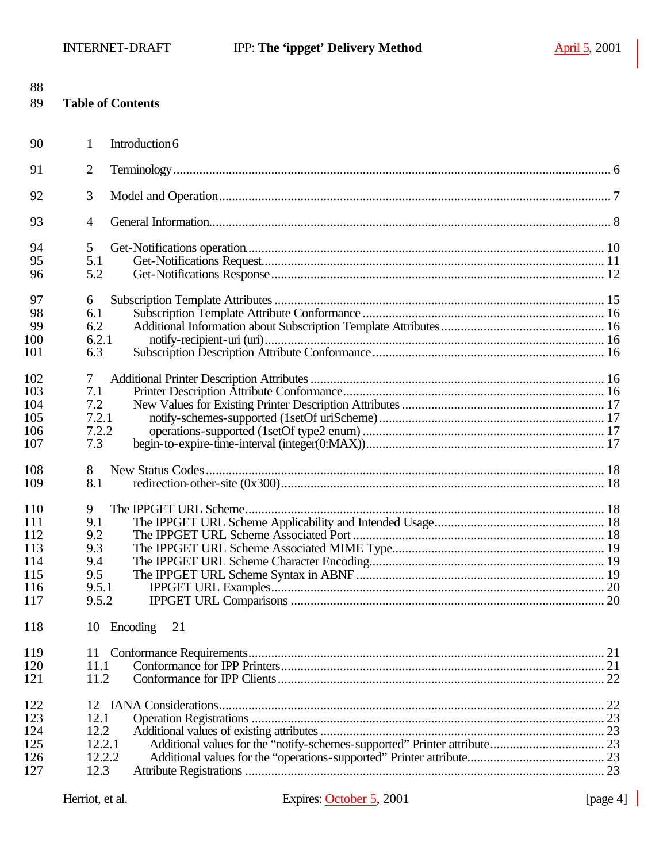| 88<br>89 |                | <b>Table of Contents</b> |  |
|----------|----------------|--------------------------|--|
| 90       | 1              | Introduction 6           |  |
| 91       | $\overline{2}$ |                          |  |
| 92       | 3              |                          |  |
| 93       | $\overline{4}$ |                          |  |
| 94       | 5              |                          |  |
| 95       | 5.1            |                          |  |
| 96       | 5.2            |                          |  |
| 97       | 6              |                          |  |
| 98       | 6.1            |                          |  |
| 99       | 6.2            |                          |  |
| 100      | 6.2.1          |                          |  |
| 101      | 6.3            |                          |  |
| 102      | 7              |                          |  |
| 103      | 7.1            |                          |  |
| 104      | 7.2            |                          |  |
| 105      | 7.2.1          |                          |  |
| 106      | 7.2.2          |                          |  |
| 107      | 7.3            |                          |  |
| 108      | 8              |                          |  |
| 109      | 8.1            |                          |  |
| 110      | 9              |                          |  |
| 111      | 9.1            |                          |  |
| 112      | 9.2            |                          |  |
| 113      | 9.3            |                          |  |
| 114      | 9.4            |                          |  |
| 115      | 9.5            |                          |  |
| 116      | 9.5.1          |                          |  |
| 117      | 9.5.2          |                          |  |
| 118      | 10             | Encoding<br>21           |  |
| 119      | 11             |                          |  |
| 120      | 11.1           |                          |  |
| 121      | 11.2           |                          |  |
| 122      | 12             |                          |  |
| 123      | 12.1           |                          |  |
| 124      | 12.2           |                          |  |
| 125      | 12.2.1         |                          |  |
| 126      | 12.2.2         |                          |  |
| 127      | 12.3           |                          |  |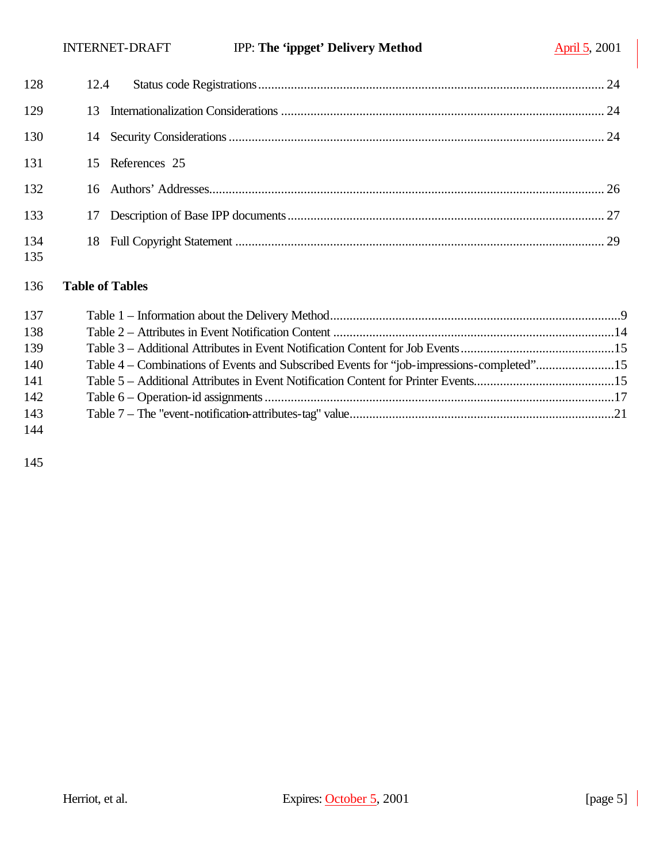| 128        |                  |  |
|------------|------------------|--|
| 129        | 13               |  |
| 130        |                  |  |
| 131        | 15 References 25 |  |
| 132        |                  |  |
| 133        | 17               |  |
| 134<br>135 |                  |  |

#### **Table of Tables**

| 137 |                                                                                          |  |
|-----|------------------------------------------------------------------------------------------|--|
| 138 |                                                                                          |  |
| 139 |                                                                                          |  |
| 140 | Table 4 – Combinations of Events and Subscribed Events for "job-impressions-completed"15 |  |
| 141 |                                                                                          |  |
| 142 |                                                                                          |  |
| 143 |                                                                                          |  |
| 144 |                                                                                          |  |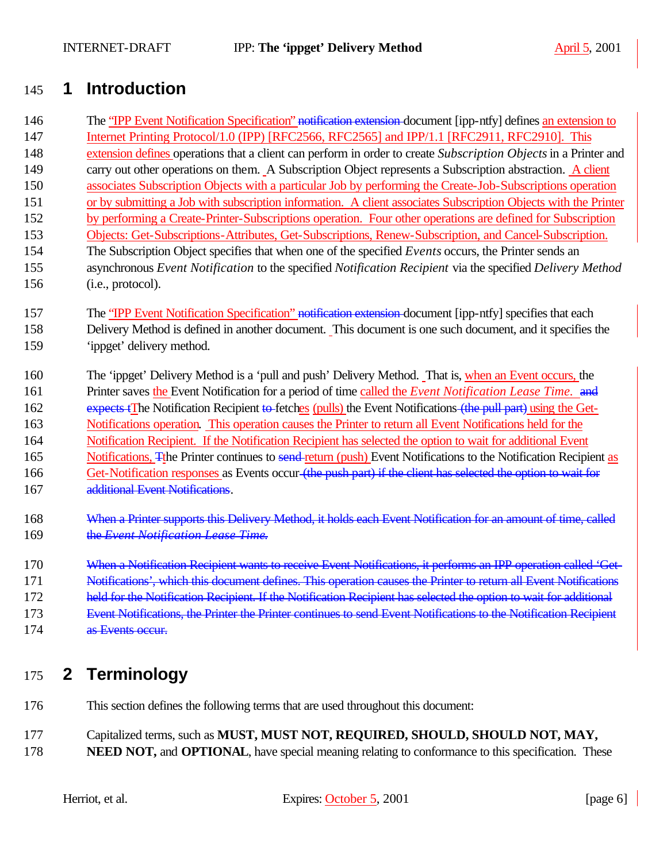# **1 Introduction**

- 146 The "IPP Event Notification Specification" notification extension-document [ipp-ntfy] defines an extension to Internet Printing Protocol/1.0 (IPP) [RFC2566, RFC2565] and IPP/1.1 [RFC2911, RFC2910]. This extension defines operations that a client can perform in order to create *Subscription Objects* in a Printer and carry out other operations on them. A Subscription Object represents a Subscription abstraction. A client associates Subscription Objects with a particular Job by performing the Create-Job-Subscriptions operation or by submitting a Job with subscription information. A client associates Subscription Objects with the Printer by performing a Create-Printer-Subscriptions operation. Four other operations are defined for Subscription Objects: Get-Subscriptions-Attributes, Get-Subscriptions, Renew-Subscription, and Cancel-Subscription. The Subscription Object specifies that when one of the specified *Events* occurs, the Printer sends an asynchronous *Event Notification* to the specified *Notification Recipient* via the specified *Delivery Method* (i.e., protocol).
- 157 The "IPP Event Notification Specification" notification extension-document [ipp-ntfy] specifies that each Delivery Method is defined in another document. This document is one such document, and it specifies the 'ippget' delivery method.
- The 'ippget' Delivery Method is a 'pull and push' Delivery Method. That is, when an Event occurs, the Printer saves the Event Notification for a period of time called the *Event Notification Lease Time.* and 162 expects tThe Notification Recipient to fetches (pulls) the Event Notifications (the pull part) using the Get- Notifications operation. This operation causes the Printer to return all Event Notifications held for the Notification Recipient. If the Notification Recipient has selected the option to wait for additional Event 165 Notifications, The Printer continues to send-return (push) Event Notifications to the Notification Recipient as 166 Get-Notification responses as Events occur (the push part) if the client has selected the option to wait for additional Event Notifications.
- 168 When a Printer supports this Delivery Method, it holds each Event Notification for an amount of time, called the *Event Notification Lease Time*.
- 170 When a Notification Recipient wants to receive Event Notifications, it performs an IPP operation called 'Get- Notifications', which this document defines. This operation causes the Printer to return all Event Notifications 172 held for the Notification Recipient. If the Notification Recipient has selected the option to wait for additional Event Notifications, the Printer the Printer continues to send Event Notifications to the Notification Recipient
- as Events occur.

# **2 Terminology**

- This section defines the following terms that are used throughout this document:
- Capitalized terms, such as **MUST, MUST NOT, REQUIRED, SHOULD, SHOULD NOT, MAY,**
- **NEED NOT, and OPTIONAL**, have special meaning relating to conformance to this specification. These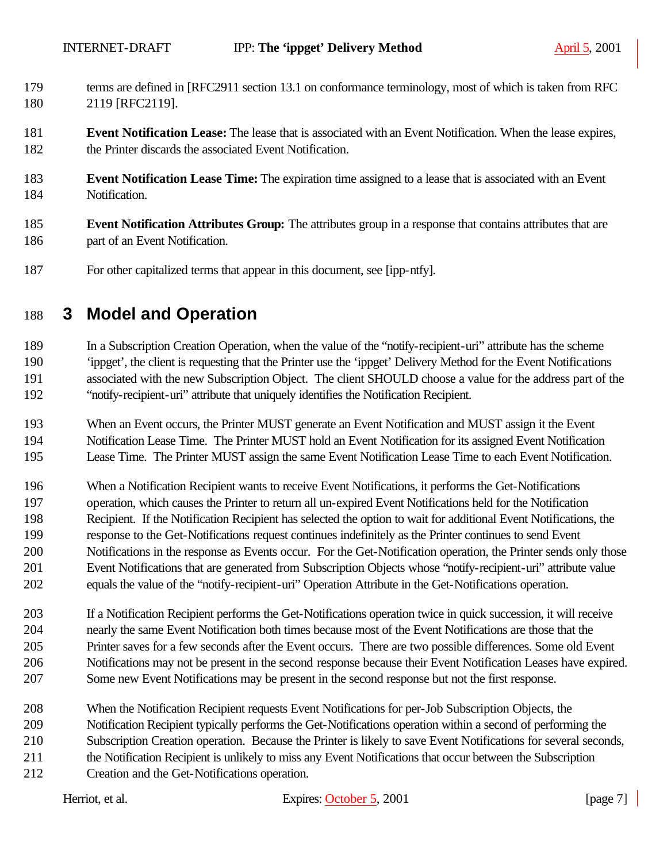- terms are defined in [RFC2911 section 13.1 on conformance terminology, most of which is taken from RFC 2119 [RFC2119].
- **Event Notification Lease:** The lease that is associated with an Event Notification. When the lease expires, the Printer discards the associated Event Notification.
- **Event Notification Lease Time:** The expiration time assigned to a lease that is associated with an Event Notification.
- **Event Notification Attributes Group:** The attributes group in a response that contains attributes that are part of an Event Notification.
- For other capitalized terms that appear in this document, see [ipp-ntfy].

# **3 Model and Operation**

 In a Subscription Creation Operation, when the value of the "notify-recipient-uri" attribute has the scheme 'ippget', the client is requesting that the Printer use the 'ippget' Delivery Method for the Event Notifications associated with the new Subscription Object. The client SHOULD choose a value for the address part of the "notify-recipient-uri" attribute that uniquely identifies the Notification Recipient.

 When an Event occurs, the Printer MUST generate an Event Notification and MUST assign it the Event Notification Lease Time. The Printer MUST hold an Event Notification for its assigned Event Notification Lease Time. The Printer MUST assign the same Event Notification Lease Time to each Event Notification.

 When a Notification Recipient wants to receive Event Notifications, it performs the Get-Notifications operation, which causes the Printer to return all un-expired Event Notifications held for the Notification Recipient. If the Notification Recipient has selected the option to wait for additional Event Notifications, the response to the Get-Notifications request continues indefinitely as the Printer continues to send Event Notifications in the response as Events occur. For the Get-Notification operation, the Printer sends only those Event Notifications that are generated from Subscription Objects whose "notify-recipient-uri" attribute value equals the value of the "notify-recipient-uri" Operation Attribute in the Get-Notifications operation.

 If a Notification Recipient performs the Get-Notifications operation twice in quick succession, it will receive nearly the same Event Notification both times because most of the Event Notifications are those that the Printer saves for a few seconds after the Event occurs. There are two possible differences. Some old Event Notifications may not be present in the second response because their Event Notification Leases have expired. Some new Event Notifications may be present in the second response but not the first response.

- When the Notification Recipient requests Event Notifications for per-Job Subscription Objects, the Notification Recipient typically performs the Get-Notifications operation within a second of performing the Subscription Creation operation. Because the Printer is likely to save Event Notifications for several seconds, the Notification Recipient is unlikely to miss any Event Notifications that occur between the Subscription
- Creation and the Get-Notifications operation.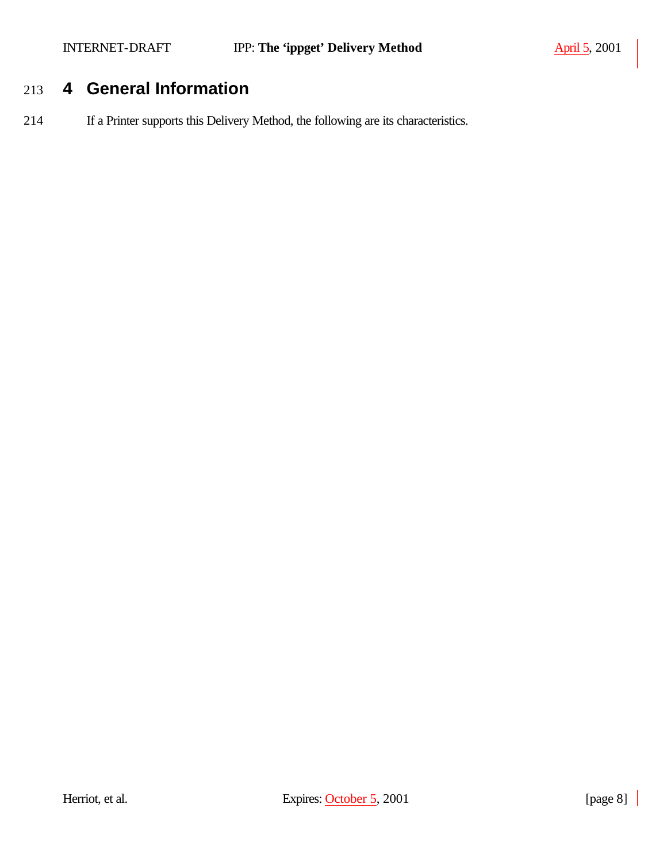# 213 **4 General Information**

214 If a Printer supports this Delivery Method, the following are its characteristics.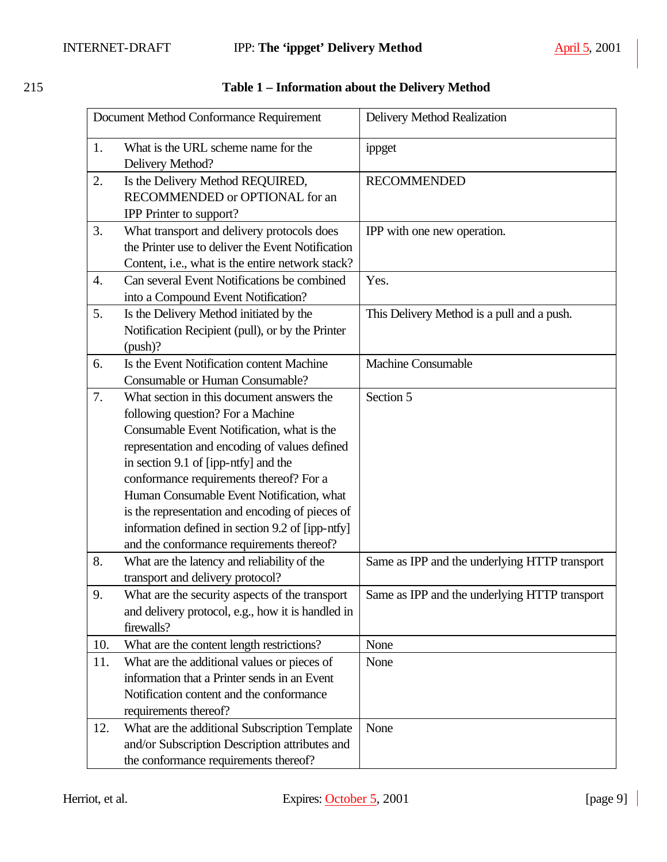|                  | Document Method Conformance Requirement                                                                                                                                                                                                                                                                                                                                                                                                                           | Delivery Method Realization                   |
|------------------|-------------------------------------------------------------------------------------------------------------------------------------------------------------------------------------------------------------------------------------------------------------------------------------------------------------------------------------------------------------------------------------------------------------------------------------------------------------------|-----------------------------------------------|
| 1.               | What is the URL scheme name for the<br>Delivery Method?                                                                                                                                                                                                                                                                                                                                                                                                           | ippget                                        |
| 2.               | Is the Delivery Method REQUIRED,<br>RECOMMENDED or OPTIONAL for an<br>IPP Printer to support?                                                                                                                                                                                                                                                                                                                                                                     | <b>RECOMMENDED</b>                            |
| 3.               | What transport and delivery protocols does<br>the Printer use to deliver the Event Notification<br>Content, i.e., what is the entire network stack?                                                                                                                                                                                                                                                                                                               | IPP with one new operation.                   |
| $\overline{4}$ . | Can several Event Notifications be combined<br>into a Compound Event Notification?                                                                                                                                                                                                                                                                                                                                                                                | Yes.                                          |
| 5.               | Is the Delivery Method initiated by the<br>Notification Recipient (pull), or by the Printer<br>(push)?                                                                                                                                                                                                                                                                                                                                                            | This Delivery Method is a pull and a push.    |
| 6.               | Is the Event Notification content Machine<br>Consumable or Human Consumable?                                                                                                                                                                                                                                                                                                                                                                                      | <b>Machine Consumable</b>                     |
| 7.               | What section in this document answers the<br>following question? For a Machine<br>Consumable Event Notification, what is the<br>representation and encoding of values defined<br>in section 9.1 of [ipp-ntfy] and the<br>conformance requirements thereof? For a<br>Human Consumable Event Notification, what<br>is the representation and encoding of pieces of<br>information defined in section 9.2 of [ipp-ntfy]<br>and the conformance requirements thereof? | Section 5                                     |
| 8.               | What are the latency and reliability of the<br>transport and delivery protocol?                                                                                                                                                                                                                                                                                                                                                                                   | Same as IPP and the underlying HTTP transport |
| 9.               | What are the security aspects of the transport<br>and delivery protocol, e.g., how it is handled in<br>firewalls?                                                                                                                                                                                                                                                                                                                                                 | Same as IPP and the underlying HTTP transport |
| 10.              | What are the content length restrictions?                                                                                                                                                                                                                                                                                                                                                                                                                         | None                                          |
| 11.              | What are the additional values or pieces of<br>information that a Printer sends in an Event<br>Notification content and the conformance<br>requirements thereof?                                                                                                                                                                                                                                                                                                  | None                                          |
| 12.              | What are the additional Subscription Template<br>and/or Subscription Description attributes and<br>the conformance requirements thereof?                                                                                                                                                                                                                                                                                                                          | None                                          |

## 215 **Table 1 – Information about the Delivery Method**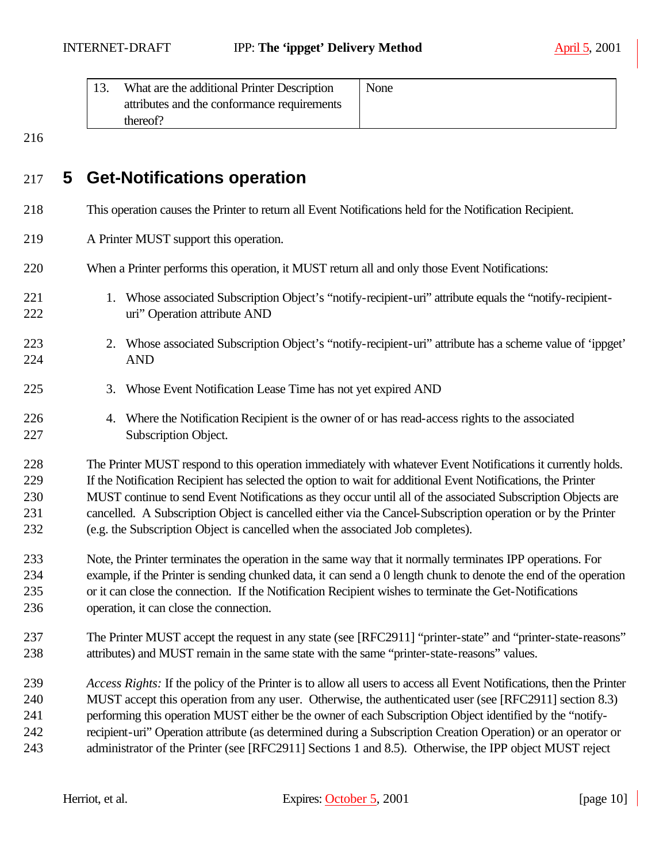| What are the additional Printer Description | None |
|---------------------------------------------|------|
| attributes and the conformance requirements |      |
| thereof?                                    |      |

## **5 Get-Notifications operation**

- This operation causes the Printer to return all Event Notifications held for the Notification Recipient.
- A Printer MUST support this operation.
- When a Printer performs this operation, it MUST return all and only those Event Notifications:
- 221 1. Whose associated Subscription Object's "notify-recipient-uri" attribute equals the "notify-recipient-uri" Operation attribute AND
- 2. Whose associated Subscription Object's "notify-recipient-uri" attribute has a scheme value of 'ippget' AND
- 3. Whose Event Notification Lease Time has not yet expired AND
- 4. Where the Notification Recipient is the owner of or has read-access rights to the associated Subscription Object.

 The Printer MUST respond to this operation immediately with whatever Event Notifications it currently holds. If the Notification Recipient has selected the option to wait for additional Event Notifications, the Printer MUST continue to send Event Notifications as they occur until all of the associated Subscription Objects are cancelled. A Subscription Object is cancelled either via the Cancel-Subscription operation or by the Printer (e.g. the Subscription Object is cancelled when the associated Job completes).

- Note, the Printer terminates the operation in the same way that it normally terminates IPP operations. For example, if the Printer is sending chunked data, it can send a 0 length chunk to denote the end of the operation or it can close the connection. If the Notification Recipient wishes to terminate the Get-Notifications operation, it can close the connection.
- The Printer MUST accept the request in any state (see [RFC2911] "printer-state" and "printer-state-reasons" attributes) and MUST remain in the same state with the same "printer-state-reasons" values.
- *Access Rights:* If the policy of the Printer is to allow all users to access all Event Notifications, then the Printer MUST accept this operation from any user. Otherwise, the authenticated user (see [RFC2911] section 8.3) performing this operation MUST either be the owner of each Subscription Object identified by the "notify-recipient-uri" Operation attribute (as determined during a Subscription Creation Operation) or an operator or
- 243 administrator of the Printer (see [RFC2911] Sections 1 and 8.5). Otherwise, the IPP object MUST reject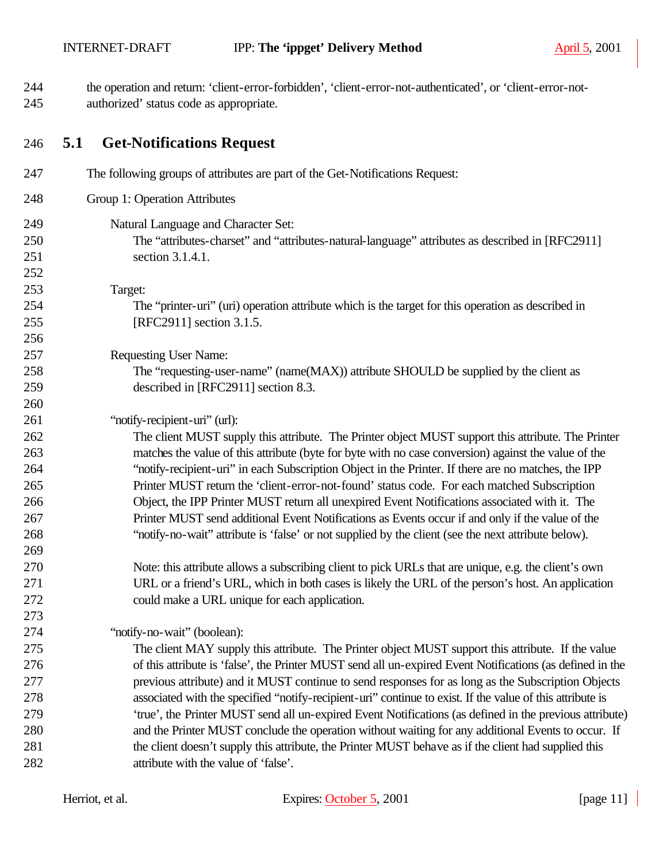the operation and return: 'client-error-forbidden', 'client-error-not-authenticated', or 'client-error-not-authorized' status code as appropriate.

#### **5.1 Get-Notifications Request**

| 247 | The following groups of attributes are part of the Get-Notifications Request:                             |
|-----|-----------------------------------------------------------------------------------------------------------|
| 248 | Group 1: Operation Attributes                                                                             |
| 249 | Natural Language and Character Set:                                                                       |
| 250 | The "attributes-charset" and "attributes-natural-language" attributes as described in [RFC2911]           |
| 251 | section 3.1.4.1.                                                                                          |
| 252 |                                                                                                           |
| 253 | Target:                                                                                                   |
| 254 | The "printer-uri" (uri) operation attribute which is the target for this operation as described in        |
| 255 | [RFC2911] section 3.1.5.                                                                                  |
| 256 |                                                                                                           |
| 257 | <b>Requesting User Name:</b>                                                                              |
| 258 | The "requesting-user-name" (name(MAX)) attribute SHOULD be supplied by the client as                      |
| 259 | described in [RFC2911] section 8.3.                                                                       |
| 260 |                                                                                                           |
| 261 | "notify-recipient-uri" (url):                                                                             |
| 262 | The client MUST supply this attribute. The Printer object MUST support this attribute. The Printer        |
| 263 | matches the value of this attribute (byte for byte with no case conversion) against the value of the      |
| 264 | "notify-recipient-uri" in each Subscription Object in the Printer. If there are no matches, the IPP       |
| 265 | Printer MUST return the 'client-error-not-found' status code. For each matched Subscription               |
| 266 | Object, the IPP Printer MUST return all unexpired Event Notifications associated with it. The             |
| 267 | Printer MUST send additional Event Notifications as Events occur if and only if the value of the          |
| 268 | "notify-no-wait" attribute is 'false' or not supplied by the client (see the next attribute below).       |
| 269 |                                                                                                           |
| 270 | Note: this attribute allows a subscribing client to pick URLs that are unique, e.g. the client's own      |
| 271 | URL or a friend's URL, which in both cases is likely the URL of the person's host. An application         |
| 272 | could make a URL unique for each application.                                                             |
| 273 |                                                                                                           |
| 274 | "notify-no-wait" (boolean):                                                                               |
| 275 | The client MAY supply this attribute. The Printer object MUST support this attribute. If the value        |
| 276 | of this attribute is 'false', the Printer MUST send all un-expired Event Notifications (as defined in the |
| 277 | previous attribute) and it MUST continue to send responses for as long as the Subscription Objects        |
| 278 | associated with the specified "notify-recipient-uri" continue to exist. If the value of this attribute is |
| 279 | 'true', the Printer MUST send all un-expired Event Notifications (as defined in the previous attribute)   |
| 280 | and the Printer MUST conclude the operation without waiting for any additional Events to occur. If        |
| 281 | the client doesn't supply this attribute, the Printer MUST behave as if the client had supplied this      |
| 282 | attribute with the value of 'false'.                                                                      |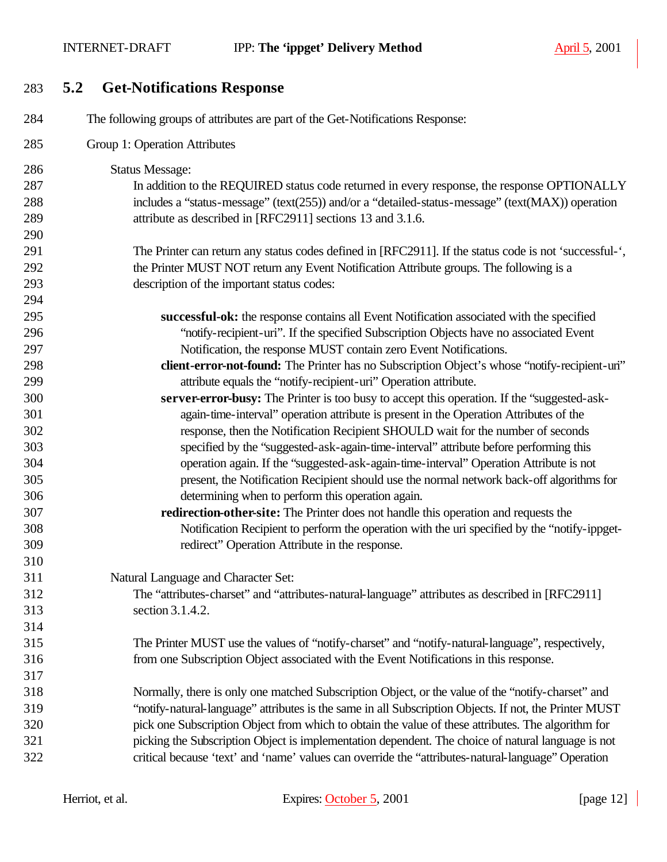**5.2 Get-Notifications Response**

| 284 | The following groups of attributes are part of the Get-Notifications Response:                         |
|-----|--------------------------------------------------------------------------------------------------------|
| 285 | Group 1: Operation Attributes                                                                          |
| 286 | <b>Status Message:</b>                                                                                 |
| 287 | In addition to the REQUIRED status code returned in every response, the response OPTIONALLY            |
| 288 | includes a "status-message" (text(255)) and/or a "detailed-status-message" (text(MAX)) operation       |
| 289 | attribute as described in [RFC2911] sections 13 and 3.1.6.                                             |
| 290 |                                                                                                        |
| 291 | The Printer can return any status codes defined in [RFC2911]. If the status code is not 'successful-', |
| 292 | the Printer MUST NOT return any Event Notification Attribute groups. The following is a                |
| 293 | description of the important status codes:                                                             |
| 294 |                                                                                                        |
| 295 | successful-ok: the response contains all Event Notification associated with the specified              |
| 296 | "notify-recipient-uri". If the specified Subscription Objects have no associated Event                 |
| 297 | Notification, the response MUST contain zero Event Notifications.                                      |
| 298 | client-error-not-found: The Printer has no Subscription Object's whose "notify-recipient-uri"          |
| 299 | attribute equals the "notify-recipient-uri" Operation attribute.                                       |
| 300 | server-error-busy: The Printer is too busy to accept this operation. If the "suggested-ask-            |
| 301 | again-time-interval" operation attribute is present in the Operation Attributes of the                 |
| 302 | response, then the Notification Recipient SHOULD wait for the number of seconds                        |
| 303 | specified by the "suggested-ask-again-time-interval" attribute before performing this                  |
| 304 | operation again. If the "suggested-ask-again-time-interval" Operation Attribute is not                 |
| 305 | present, the Notification Recipient should use the normal network back-off algorithms for              |
| 306 | determining when to perform this operation again.                                                      |
| 307 | redirection-other-site: The Printer does not handle this operation and requests the                    |
| 308 | Notification Recipient to perform the operation with the uri specified by the "notify-ippget-          |
| 309 | redirect" Operation Attribute in the response.                                                         |
| 310 |                                                                                                        |
| 311 | Natural Language and Character Set:                                                                    |
| 312 | The "attributes-charset" and "attributes-natural-language" attributes as described in [RFC2911]        |
| 313 | section 3.1.4.2.                                                                                       |
| 314 |                                                                                                        |
| 315 | The Printer MUST use the values of "notify-charset" and "notify-natural-language", respectively,       |
| 316 | from one Subscription Object associated with the Event Notifications in this response.                 |
| 317 |                                                                                                        |
| 318 | Normally, there is only one matched Subscription Object, or the value of the "notify-charset" and      |
| 319 | "notify-natural-language" attributes is the same in all Subscription Objects. If not, the Printer MUST |
| 320 | pick one Subscription Object from which to obtain the value of these attributes. The algorithm for     |
| 321 | picking the Subscription Object is implementation dependent. The choice of natural language is not     |
| 322 | critical because 'text' and 'name' values can override the "attributes-natural-language" Operation     |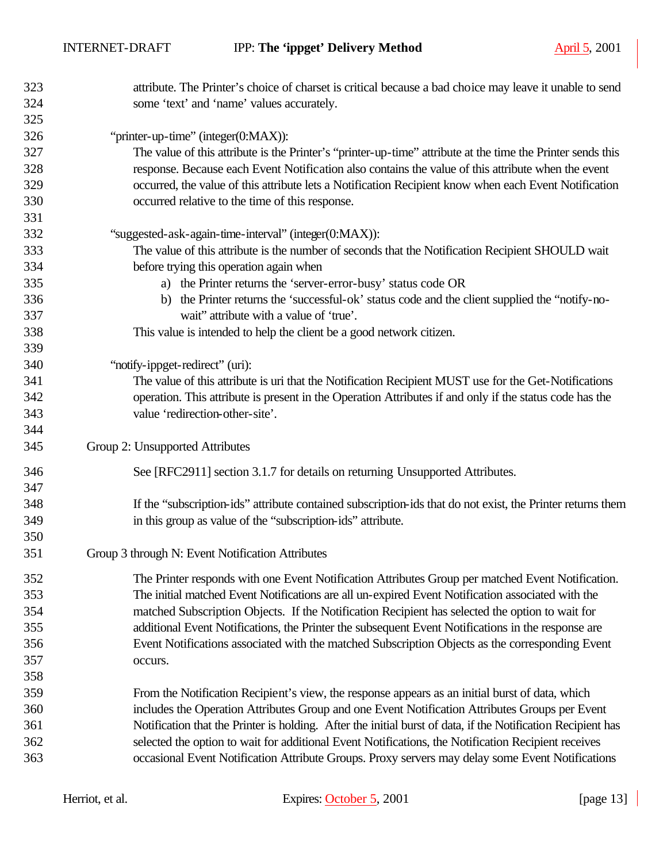| 323        | attribute. The Printer's choice of charset is critical because a bad choice may leave it unable to send                                   |
|------------|-------------------------------------------------------------------------------------------------------------------------------------------|
| 324        | some 'text' and 'name' values accurately.                                                                                                 |
| 325        |                                                                                                                                           |
| 326        | "printer-up-time" (integer(0:MAX)):                                                                                                       |
| 327        | The value of this attribute is the Printer's "printer-up-time" attribute at the time the Printer sends this                               |
| 328        | response. Because each Event Notification also contains the value of this attribute when the event                                        |
| 329        | occurred, the value of this attribute lets a Notification Recipient know when each Event Notification                                     |
| 330        | occurred relative to the time of this response.                                                                                           |
| 331        |                                                                                                                                           |
| 332        | "suggested-ask-again-time-interval" (integer(0:MAX)):                                                                                     |
| 333        | The value of this attribute is the number of seconds that the Notification Recipient SHOULD wait                                          |
| 334        | before trying this operation again when                                                                                                   |
| 335        | a) the Printer returns the 'server-error-busy' status code OR                                                                             |
| 336<br>337 | b) the Printer returns the 'successful-ok' status code and the client supplied the "notify-no-<br>wait" attribute with a value of 'true'. |
| 338        | This value is intended to help the client be a good network citizen.                                                                      |
| 339        |                                                                                                                                           |
| 340        | "notify-ippget-redirect" (uri):                                                                                                           |
| 341        | The value of this attribute is uri that the Notification Recipient MUST use for the Get-Notifications                                     |
| 342        | operation. This attribute is present in the Operation Attributes if and only if the status code has the                                   |
| 343        | value 'redirection-other-site'.                                                                                                           |
| 344        |                                                                                                                                           |
| 345        | Group 2: Unsupported Attributes                                                                                                           |
| 346        | See [RFC2911] section 3.1.7 for details on returning Unsupported Attributes.                                                              |
| 347        |                                                                                                                                           |
| 348        | If the "subscription-ids" attribute contained subscription-ids that do not exist, the Printer returns them                                |
| 349        | in this group as value of the "subscription-ids" attribute.                                                                               |
| 350        |                                                                                                                                           |
| 351        | Group 3 through N: Event Notification Attributes                                                                                          |
| 352        | The Printer responds with one Event Notification Attributes Group per matched Event Notification.                                         |
| 353        | The initial matched Event Notifications are all un-expired Event Notification associated with the                                         |
| 354        | matched Subscription Objects. If the Notification Recipient has selected the option to wait for                                           |
| 355        | additional Event Notifications, the Printer the subsequent Event Notifications in the response are                                        |
| 356        | Event Notifications associated with the matched Subscription Objects as the corresponding Event                                           |
| 357        | occurs.                                                                                                                                   |
| 358        |                                                                                                                                           |
| 359        | From the Notification Recipient's view, the response appears as an initial burst of data, which                                           |
| 360        | includes the Operation Attributes Group and one Event Notification Attributes Groups per Event                                            |
| 361        | Notification that the Printer is holding. After the initial burst of data, if the Notification Recipient has                              |
| 362        | selected the option to wait for additional Event Notifications, the Notification Recipient receives                                       |
| 363        | occasional Event Notification Attribute Groups. Proxy servers may delay some Event Notifications                                          |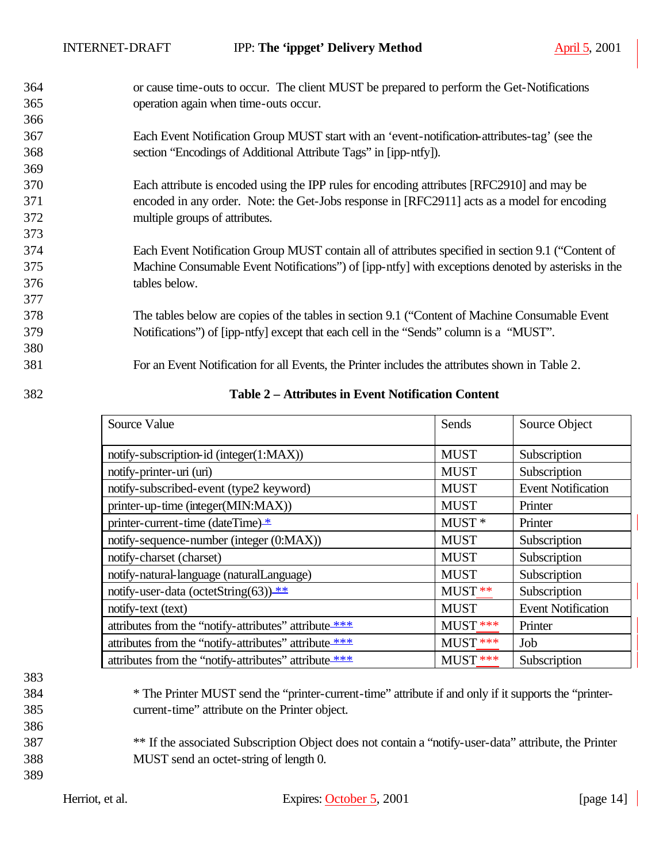or cause time-outs to occur. The client MUST be prepared to perform the Get-Notifications operation again when time-outs occur.

- Each Event Notification Group MUST start with an 'event-notification-attributes-tag' (see the section "Encodings of Additional Attribute Tags" in [ipp-ntfy]).
- Each attribute is encoded using the IPP rules for encoding attributes [RFC2910] and may be encoded in any order. Note: the Get-Jobs response in [RFC2911] acts as a model for encoding multiple groups of attributes.
- Each Event Notification Group MUST contain all of attributes specified in section 9.1 ("Content of Machine Consumable Event Notifications") of [ipp-ntfy] with exceptions denoted by asterisks in the tables below.

 The tables below are copies of the tables in section 9.1 ("Content of Machine Consumable Event Notifications") of [ipp-ntfy] except that each cell in the "Sends" column is a "MUST".

For an Event Notification for all Events, the Printer includes the attributes shown in Table 2.

| 382 | Table 2 – Attributes in Event Notification Content |  |
|-----|----------------------------------------------------|--|
|     |                                                    |  |

| Source Value                                          | Sends             | Source Object             |
|-------------------------------------------------------|-------------------|---------------------------|
| notify-subscription-id (integer(1:MAX))               | <b>MUST</b>       | Subscription              |
| notify-printer-uri (uri)                              | <b>MUST</b>       | Subscription              |
| notify-subscribed-event (type2 keyword)               | <b>MUST</b>       | <b>Event Notification</b> |
| printer-up-time (integer(MIN:MAX))                    | <b>MUST</b>       | Printer                   |
| printer-current-time (dateTime) *                     | MUST <sup>*</sup> | Printer                   |
| notify-sequence-number (integer (0:MAX))              | <b>MUST</b>       | Subscription              |
| notify-charset (charset)                              | <b>MUST</b>       | Subscription              |
| notify-natural-language (naturalLanguage)             | <b>MUST</b>       | Subscription              |
| notify-user-data (octetString(63)) **                 | $MUST**$          | Subscription              |
| notify-text (text)                                    | <b>MUST</b>       | <b>Event Notification</b> |
| attributes from the "notify-attributes" attribute *** | MUST ***          | Printer                   |
| attributes from the "notify-attributes" attribute *** | MUST ***          | Job                       |
| attributes from the "notify-attributes" attribute *** | MUST ***          | Subscription              |

# 

- \* The Printer MUST send the "printer-current-time" attribute if and only if it supports the "printer-current-time" attribute on the Printer object.
- \*\* If the associated Subscription Object does not contain a "notify-user-data" attribute, the Printer MUST send an octet-string of length 0.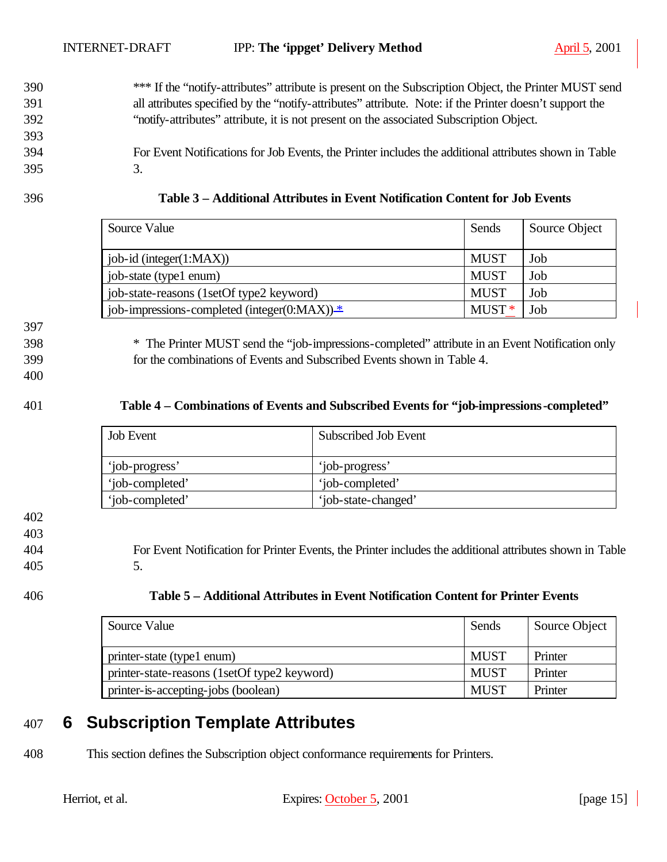- 390 \*\*\* If the "notify-attributes" attribute is present on the Subscription Object, the Printer MUST send 391 all attributes specified by the "notify-attributes" attribute. Note: if the Printer doesn't support the 392 "notify-attributes" attribute, it is not present on the associated Subscription Object. 393
- 394 For Event Notifications for Job Events, the Printer includes the additional attributes shown in Table 395 3.
- 

| 396 | Table 3 – Additional Attributes in Event Notification Content for Job Events |
|-----|------------------------------------------------------------------------------|
|     |                                                                              |

| Source Value<br>Sends                          |             | Source Object |
|------------------------------------------------|-------------|---------------|
|                                                |             |               |
| job-id (integer(1:MAX))                        | <b>MUST</b> | Job           |
| job-state (type1 enum)                         |             | Job           |
| job-state-reasons (1setOf type2 keyword)       | <b>MUST</b> | Job           |
| job-impressions-completed (integer(0:MAX)) $*$ |             | Job           |

397 398 \* The Printer MUST send the "job-impressions-completed" attribute in an Event Notification only

399 for the combinations of Events and Subscribed Events shown in Table 4.

400

#### 401 **Table 4 – Combinations of Events and Subscribed Events for "job-impressions-completed"**

| <b>Job</b> Event | Subscribed Job Event |
|------------------|----------------------|
| 'job-progress'   | 'job-progress'       |
| 'job-completed'  | 'job-completed'      |
| 'job-completed'  | 'job-state-changed'  |

402

403

404 For Event Notification for Printer Events, the Printer includes the additional attributes shown in Table 405 5.

| Table 5 – Additional Attributes in Event Notification Content for Printer Events |
|----------------------------------------------------------------------------------|
|                                                                                  |

| Source Value                                 | Sends       | Source Object |
|----------------------------------------------|-------------|---------------|
| printer-state (type1 enum)                   | <b>MUST</b> | Printer       |
| printer-state-reasons (1setOf type2 keyword) | <b>MUST</b> | Printer       |
| printer-is-accepting-jobs (boolean)          | <b>MUST</b> | Printer       |

# 407 **6 Subscription Template Attributes**

408 This section defines the Subscription object conformance requirements for Printers.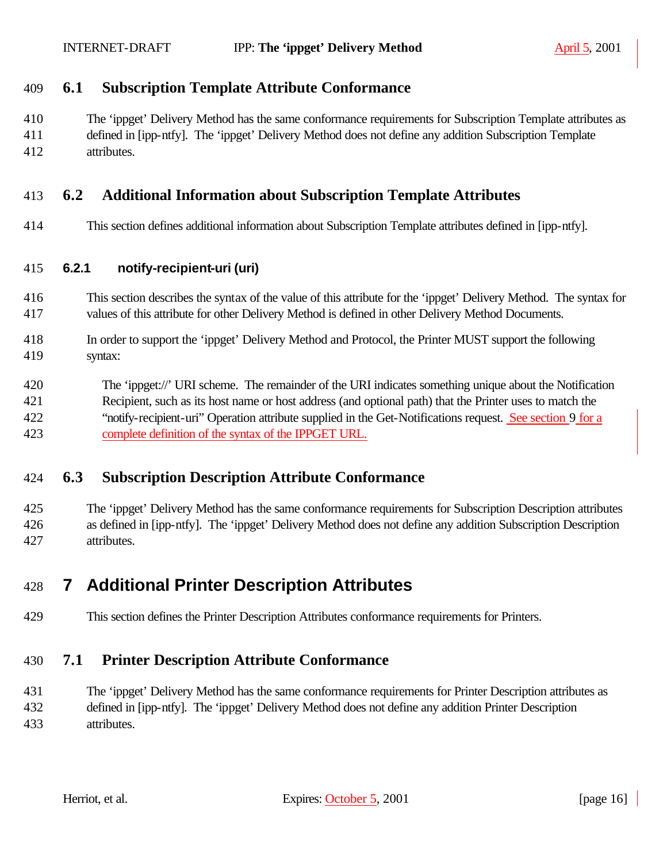#### **6.1 Subscription Template Attribute Conformance**

 The 'ippget' Delivery Method has the same conformance requirements for Subscription Template attributes as defined in [ipp-ntfy]. The 'ippget' Delivery Method does not define any addition Subscription Template attributes.

#### **6.2 Additional Information about Subscription Template Attributes**

This section defines additional information about Subscription Template attributes defined in [ipp-ntfy].

#### **6.2.1 notify-recipient-uri (uri)**

- This section describes the syntax of the value of this attribute for the 'ippget' Delivery Method. The syntax for values of this attribute for other Delivery Method is defined in other Delivery Method Documents.
- In order to support the 'ippget' Delivery Method and Protocol, the Printer MUST support the following syntax:
- The 'ippget://' URI scheme. The remainder of the URI indicates something unique about the Notification Recipient, such as its host name or host address (and optional path) that the Printer uses to match the "notify-recipient-uri" Operation attribute supplied in the Get-Notifications request. See section 9 for a complete definition of the syntax of the IPPGET URL.

### **6.3 Subscription Description Attribute Conformance**

 The 'ippget' Delivery Method has the same conformance requirements for Subscription Description attributes as defined in [ipp-ntfy]. The 'ippget' Delivery Method does not define any addition Subscription Description attributes.

# **7 Additional Printer Description Attributes**

This section defines the Printer Description Attributes conformance requirements for Printers.

### **7.1 Printer Description Attribute Conformance**

 The 'ippget' Delivery Method has the same conformance requirements for Printer Description attributes as defined in [ipp-ntfy]. The 'ippget' Delivery Method does not define any addition Printer Description attributes.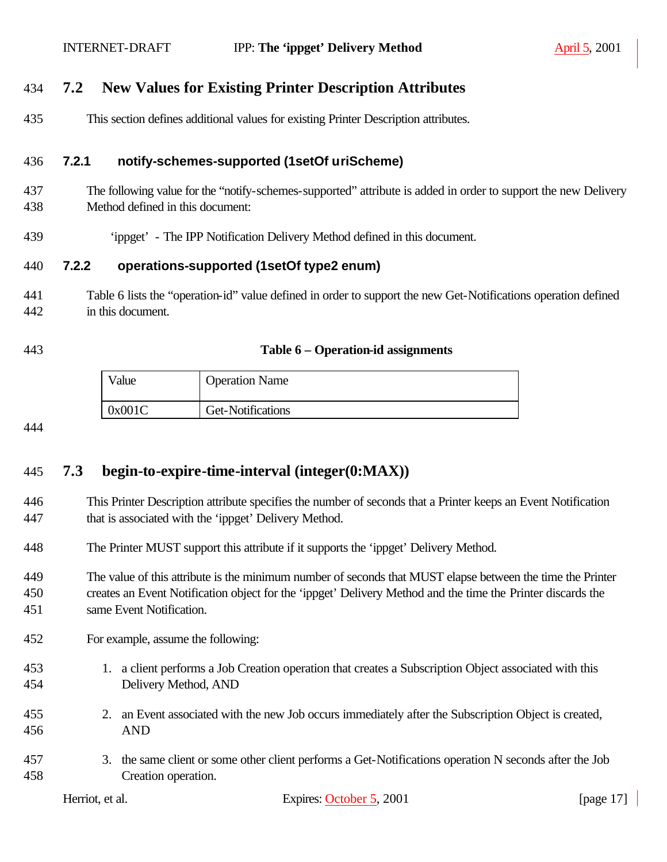#### **7.2 New Values for Existing Printer Description Attributes**

This section defines additional values for existing Printer Description attributes.

#### **7.2.1 notify-schemes-supported (1setOf uriScheme)**

- The following value for the "notify-schemes-supported" attribute is added in order to support the new Delivery Method defined in this document:
- 'ippget' The IPP Notification Delivery Method defined in this document.

#### **7.2.2 operations-supported (1setOf type2 enum)**

- Table 6 lists the "operation-id" value defined in order to support the new Get-Notifications operation defined in this document.
- 

#### **Table 6 – Operation-id assignments**

| $\mathrm{V}$ alue | <b>Operation Name</b> |
|-------------------|-----------------------|
| 0x001C            | Get-Notifications     |

#### 

### **7.3 begin-to-expire-time-interval (integer(0:MAX))**

- This Printer Description attribute specifies the number of seconds that a Printer keeps an Event Notification that is associated with the 'ippget' Delivery Method.
- The Printer MUST support this attribute if it supports the 'ippget' Delivery Method.
- The value of this attribute is the minimum number of seconds that MUST elapse between the time the Printer creates an Event Notification object for the 'ippget' Delivery Method and the time the Printer discards the same Event Notification.
- For example, assume the following:
- 1. a client performs a Job Creation operation that creates a Subscription Object associated with this Delivery Method, AND
- 2. an Event associated with the new Job occurs immediately after the Subscription Object is created, AND
- 3. the same client or some other client performs a Get-Notifications operation N seconds after the Job Creation operation.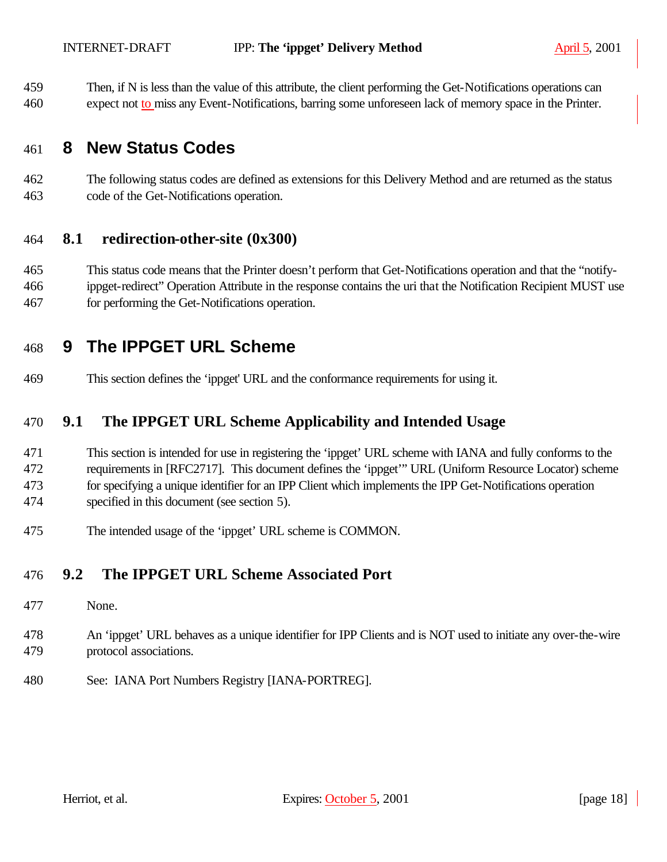Then, if N is less than the value of this attribute, the client performing the Get-Notifications operations can

expect not to miss any Event-Notifications, barring some unforeseen lack of memory space in the Printer.

# **8 New Status Codes**

 The following status codes are defined as extensions for this Delivery Method and are returned as the status code of the Get-Notifications operation.

#### **8.1 redirection-other-site (0x300)**

 This status code means that the Printer doesn't perform that Get-Notifications operation and that the "notify- ippget-redirect" Operation Attribute in the response contains the uri that the Notification Recipient MUST use for performing the Get-Notifications operation.

# **9 The IPPGET URL Scheme**

This section defines the 'ippget' URL and the conformance requirements for using it.

### **9.1 The IPPGET URL Scheme Applicability and Intended Usage**

- This section is intended for use in registering the 'ippget' URL scheme with IANA and fully conforms to the requirements in [RFC2717]. This document defines the 'ippget'" URL (Uniform Resource Locator) scheme for specifying a unique identifier for an IPP Client which implements the IPP Get-Notifications operation specified in this document (see section 5).
- The intended usage of the 'ippget' URL scheme is COMMON.

#### **9.2 The IPPGET URL Scheme Associated Port**

- None.
- An 'ippget' URL behaves as a unique identifier for IPP Clients and is NOT used to initiate any over-the-wire protocol associations.
- See: IANA Port Numbers Registry [IANA-PORTREG].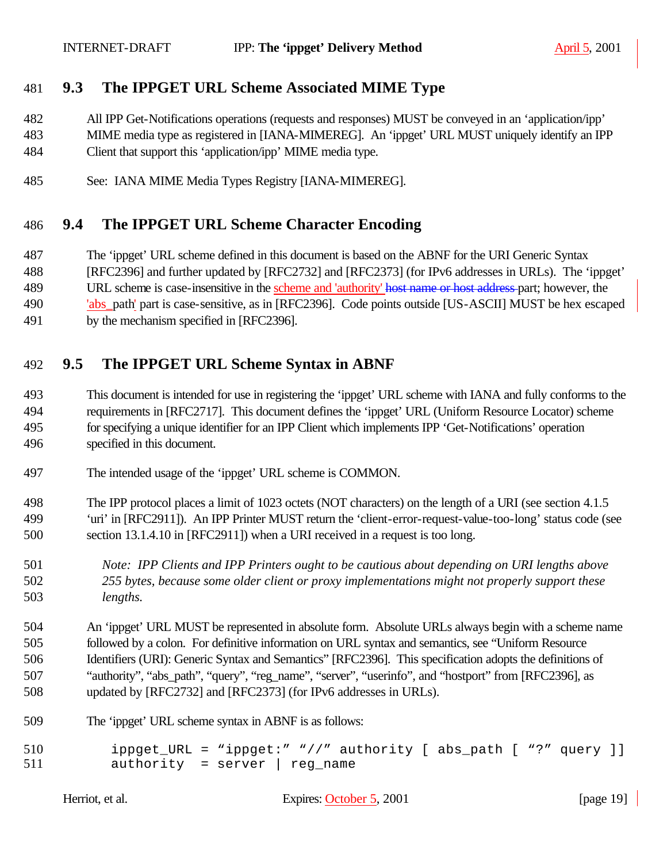### **9.3 The IPPGET URL Scheme Associated MIME Type**

 All IPP Get-Notifications operations (requests and responses) MUST be conveyed in an 'application/ipp' MIME media type as registered in [IANA-MIMEREG]. An 'ippget' URL MUST uniquely identify an IPP Client that support this 'application/ipp' MIME media type.

See: IANA MIME Media Types Registry [IANA-MIMEREG].

#### **9.4 The IPPGET URL Scheme Character Encoding**

- The 'ippget' URL scheme defined in this document is based on the ABNF for the URI Generic Syntax
- [RFC2396] and further updated by [RFC2732] and [RFC2373] (for IPv6 addresses in URLs). The 'ippget'
- 489 URL scheme is case-insensitive in the scheme and 'authority' host name or host address part; however, the
- 'abs\_path' part is case-sensitive, as in [RFC2396]. Code points outside [US-ASCII] MUST be hex escaped
- by the mechanism specified in [RFC2396].

### **9.5 The IPPGET URL Scheme Syntax in ABNF**

- This document is intended for use in registering the 'ippget' URL scheme with IANA and fully conforms to the requirements in [RFC2717]. This document defines the 'ippget' URL (Uniform Resource Locator) scheme for specifying a unique identifier for an IPP Client which implements IPP 'Get-Notifications' operation specified in this document.
- The intended usage of the 'ippget' URL scheme is COMMON.
- The IPP protocol places a limit of 1023 octets (NOT characters) on the length of a URI (see section 4.1.5 'uri' in [RFC2911]). An IPP Printer MUST return the 'client-error-request-value-too-long' status code (see section 13.1.4.10 in [RFC2911]) when a URI received in a request is too long.
- *Note: IPP Clients and IPP Printers ought to be cautious about depending on URI lengths above 255 bytes, because some older client or proxy implementations might not properly support these lengths.*

 An 'ippget' URL MUST be represented in absolute form. Absolute URLs always begin with a scheme name followed by a colon. For definitive information on URL syntax and semantics, see "Uniform Resource Identifiers (URI): Generic Syntax and Semantics" [RFC2396]. This specification adopts the definitions of "authority", "abs\_path", "query", "reg\_name", "server", "userinfo", and "hostport" from [RFC2396], as updated by [RFC2732] and [RFC2373] (for IPv6 addresses in URLs).

- The 'ippget' URL scheme syntax in ABNF is as follows:
- ippget\_URL = "ippget:" "//" authority [ abs\_path [ "?" query ]] 511 authority = server | reg name

| Herriot, et al. |
|-----------------|
|-----------------|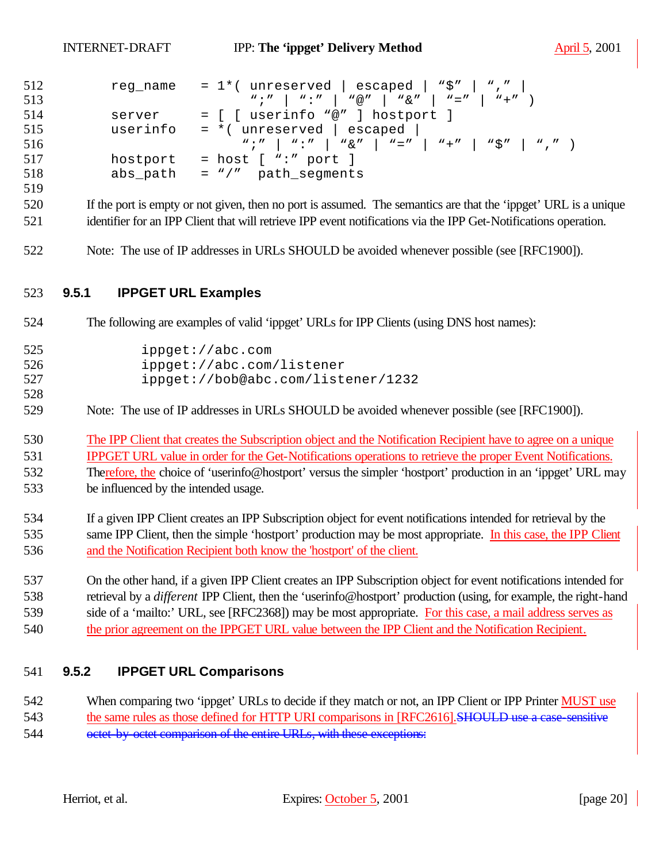| 512 | reg name | = 1*( <code>unreserved</code>   <code>escaped</code>   <code>"\$"   ","  </code> |
|-----|----------|----------------------------------------------------------------------------------|
| 513 |          |                                                                                  |
| 514 | server   | = [ [ userinfo "@" ] hostport ]                                                  |
| 515 | userinfo | $=$ *( unreserved   escaped                                                      |
| 516 |          | $w, w' = w, w' = w, w'' = w' = w' = w' + w' = w' + w' = w'$                      |
| 517 |          | hostport = host $[$ ":" port $]$                                                 |
| 518 | abs_path | = "/" path_segments                                                              |

- If the port is empty or not given, then no port is assumed. The semantics are that the 'ippget' URL is a unique identifier for an IPP Client that will retrieve IPP event notifications via the IPP Get-Notifications operation.
- Note: The use of IP addresses in URLs SHOULD be avoided whenever possible (see [RFC1900]).

#### **9.5.1 IPPGET URL Examples**

- The following are examples of valid 'ippget' URLs for IPP Clients (using DNS host names):
- ippget://abc.com ippget://abc.com/listener ippget://bob@abc.com/listener/1232
- Note: The use of IP addresses in URLs SHOULD be avoided whenever possible (see [RFC1900]).
- The IPP Client that creates the Subscription object and the Notification Recipient have to agree on a unique IPPGET URL value in order for the Get-Notifications operations to retrieve the proper Event Notifications. Therefore, the choice of 'userinfo@hostport' versus the simpler 'hostport' production in an 'ippget' URL may
- be influenced by the intended usage.
- If a given IPP Client creates an IPP Subscription object for event notifications intended for retrieval by the same IPP Client, then the simple 'hostport' production may be most appropriate. In this case, the IPP Client and the Notification Recipient both know the 'hostport' of the client.
- On the other hand, if a given IPP Client creates an IPP Subscription object for event notifications intended for retrieval by a *different* IPP Client, then the 'userinfo@hostport' production (using, for example, the right-hand side of a 'mailto:' URL, see [RFC2368]) may be most appropriate. For this case, a mail address serves as the prior agreement on the IPPGET URL value between the IPP Client and the Notification Recipient.

#### **9.5.2 IPPGET URL Comparisons**

- When comparing two 'ippget' URLs to decide if they match or not, an IPP Client or IPP Printer MUST use 543 the same rules as those defined for HTTP URI comparisons in [RFC2616]. SHOULD use a case-sensitive
- 544 octet-by-octet comparison of the entire URLs, with these exceptions: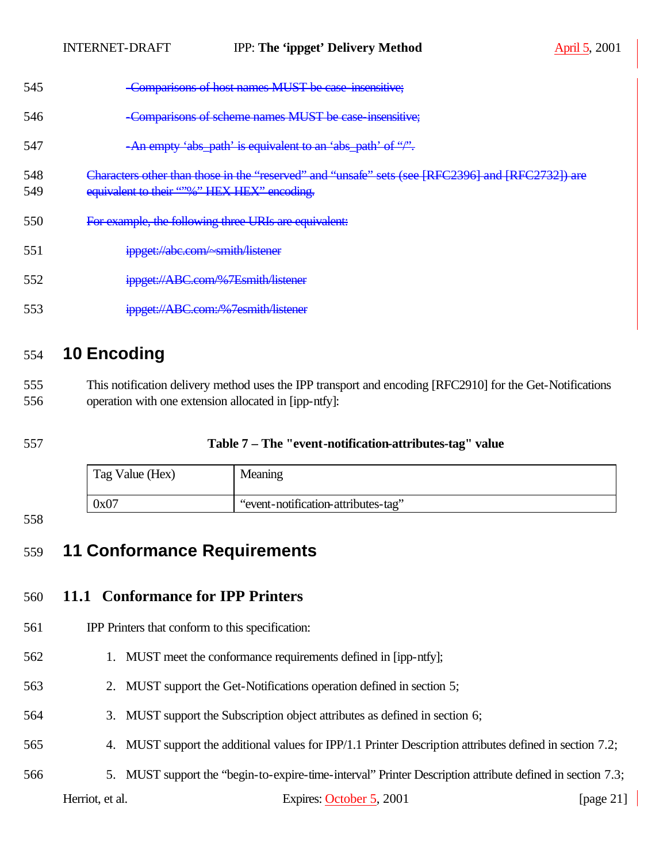- Characters other than those in the "reserved" and "unsafe" sets (see [RFC2396] and [RFC2732]) are
- 549 equivalent to their "%" HEX HEX" encoding.
- For example, the following three URIs are equivalent:
- ippget://abc.com/~smith/listener
- ippget://ABC.com/%7Esmith/listener
- ippget://ABC.com:/%7esmith/listener

# **10 Encoding**

 This notification delivery method uses the IPP transport and encoding [RFC2910] for the Get-Notifications operation with one extension allocated in [ipp-ntfy]:

#### **Table 7 – The "event-notification-attributes-tag" value**

| Tag Value (Hex) | Meaning                             |
|-----------------|-------------------------------------|
| 0x07            | "event-notification-attributes-tag" |

#### 

# **11 Conformance Requirements**

# **11.1 Conformance for IPP Printers**

### IPP Printers that conform to this specification:

- 1. MUST meet the conformance requirements defined in [ipp-ntfy];
- 2. MUST support the Get-Notifications operation defined in section 5;
- 3. MUST support the Subscription object attributes as defined in section 6;
- 4. MUST support the additional values for IPP/1.1 Printer Description attributes defined in section 7.2;
- 5. MUST support the "begin-to-expire-time-interval" Printer Description attribute defined in section 7.3;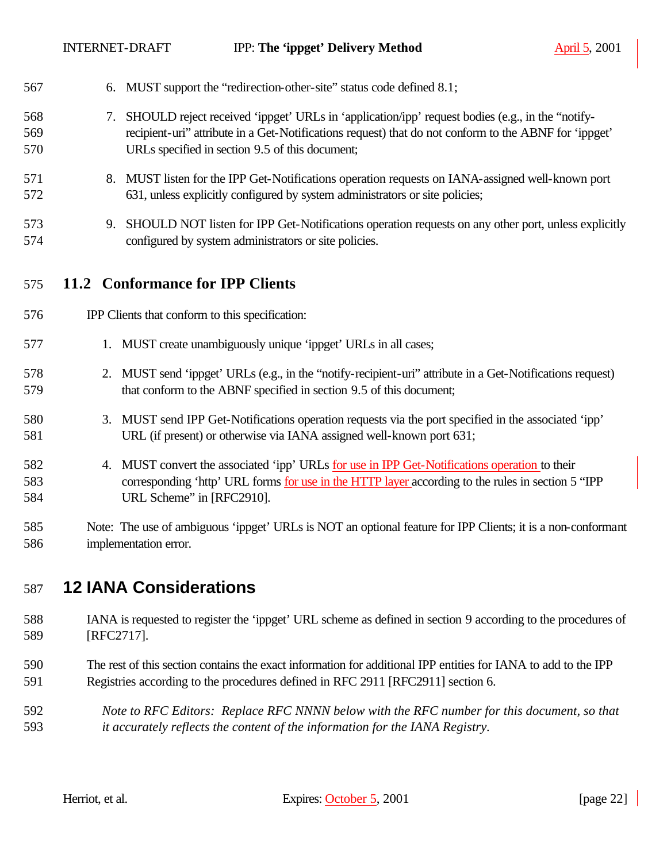| 567               |    | 6. MUST support the "redirection-other-site" status code defined 8.1;                                                                                                                                                                                       |
|-------------------|----|-------------------------------------------------------------------------------------------------------------------------------------------------------------------------------------------------------------------------------------------------------------|
| 568<br>569<br>570 | 7. | SHOULD reject received 'ippget' URLs in 'application/ipp' request bodies (e.g., in the "notify-<br>recipient-uri" attribute in a Get-Notifications request) that do not conform to the ABNF for 'ippget'<br>URLs specified in section 9.5 of this document; |
| 571<br>572        |    | 8. MUST listen for the IPP Get-Notifications operation requests on IANA-assigned well-known port<br>631, unless explicitly configured by system administrators or site policies;                                                                            |
| 573<br>574        |    | 9. SHOULD NOT listen for IPP Get-Notifications operation requests on any other port, unless explicitly<br>configured by system administrators or site policies.                                                                                             |
| 575               |    | 11.2 Conformance for IPP Clients                                                                                                                                                                                                                            |
| 576               |    | IPP Clients that conform to this specification:                                                                                                                                                                                                             |
| 577               |    | 1. MUST create unambiguously unique 'ippget' URLs in all cases;                                                                                                                                                                                             |
| 578<br>579        |    | 2. MUST send 'ippget' URLs (e.g., in the "notify-recipient-uri" attribute in a Get-Notifications request)<br>that conform to the ABNF specified in section 9.5 of this document;                                                                            |
| 580<br>581        |    | 3. MUST send IPP Get-Notifications operation requests via the port specified in the associated 'ipp'<br>URL (if present) or otherwise via IANA assigned well-known port 631;                                                                                |
| 582<br>583<br>584 |    | 4. MUST convert the associated 'ipp' URLs for use in IPP Get-Notifications operation to their<br>corresponding 'http' URL forms for use in the HTTP layer according to the rules in section 5 "IPP<br>URL Scheme" in [RFC2910].                             |
| 585<br>586        |    | Note: The use of ambiguous 'ippget' URLs is NOT an optional feature for IPP Clients; it is a non-conformant<br>implementation error.                                                                                                                        |

## **12 IANA Considerations**

- IANA is requested to register the 'ippget' URL scheme as defined in section 9 according to the procedures of [RFC2717].
- The rest of this section contains the exact information for additional IPP entities for IANA to add to the IPP Registries according to the procedures defined in RFC 2911 [RFC2911] section 6.
- *Note to RFC Editors: Replace RFC NNNN below with the RFC number for this document, so that it accurately reflects the content of the information for the IANA Registry.*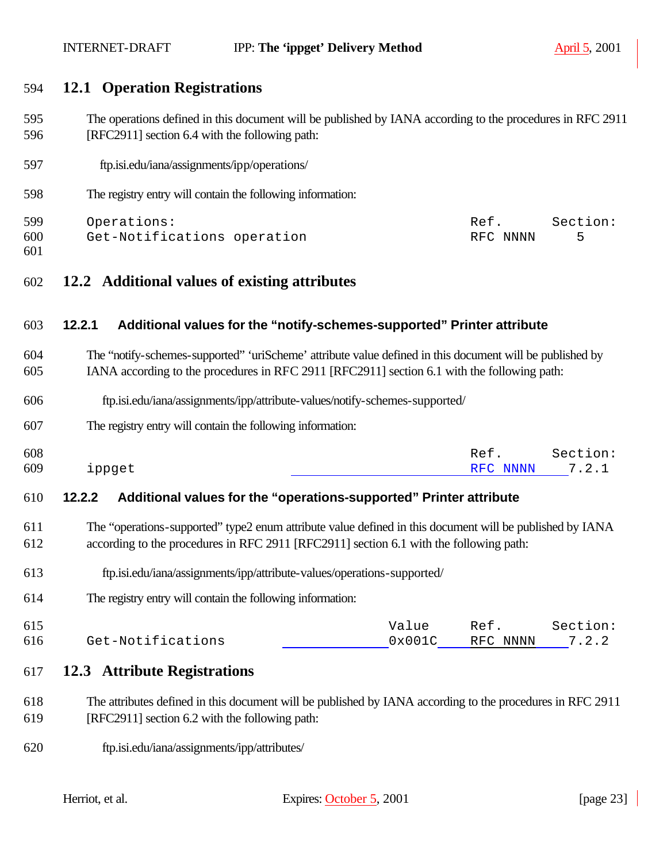#### **12.1 Operation Registrations**

- The operations defined in this document will be published by IANA according to the procedures in RFC 2911 [RFC2911] section 6.4 with the following path:
- 597 ftp.isi.edu/iana/assignments/ipp/operations/
- The registry entry will contain the following information:

| 599 | Operations:                 | Ref.     | Section: |
|-----|-----------------------------|----------|----------|
| 600 | Get-Notifications operation | RFC NNNN |          |
| 601 |                             |          |          |

**12.2 Additional values of existing attributes**

#### **12.2.1 Additional values for the "notify-schemes-supported" Printer attribute**

- The "notify-schemes-supported" 'uriScheme' attribute value defined in this document will be published by IANA according to the procedures in RFC 2911 [RFC2911] section 6.1 with the following path:
- ftp.isi.edu/iana/assignments/ipp/attribute-values/notify-schemes-supported/
- The registry entry will contain the following information:

| 608 |        | Ref.           | Section: |
|-----|--------|----------------|----------|
| 609 | ippget | RFC NNNN 7.2.1 |          |

#### **12.2.2 Additional values for the "operations-supported" Printer attribute**

- The "operations-supported" type2 enum attribute value defined in this document will be published by IANA according to the procedures in RFC 2911 [RFC2911] section 6.1 with the following path:
- ftp.isi.edu/iana/assignments/ipp/attribute-values/operations-supported/
- The registry entry will contain the following information:

| 615 |                   | Value           | Ref            | Section: |
|-----|-------------------|-----------------|----------------|----------|
| 616 | Get-Notifications | $0 \times 001C$ | RFC NNNN 7.2.2 |          |

#### **12.3 Attribute Registrations**

- The attributes defined in this document will be published by IANA according to the procedures in RFC 2911 [RFC2911] section 6.2 with the following path:
- ftp.isi.edu/iana/assignments/ipp/attributes/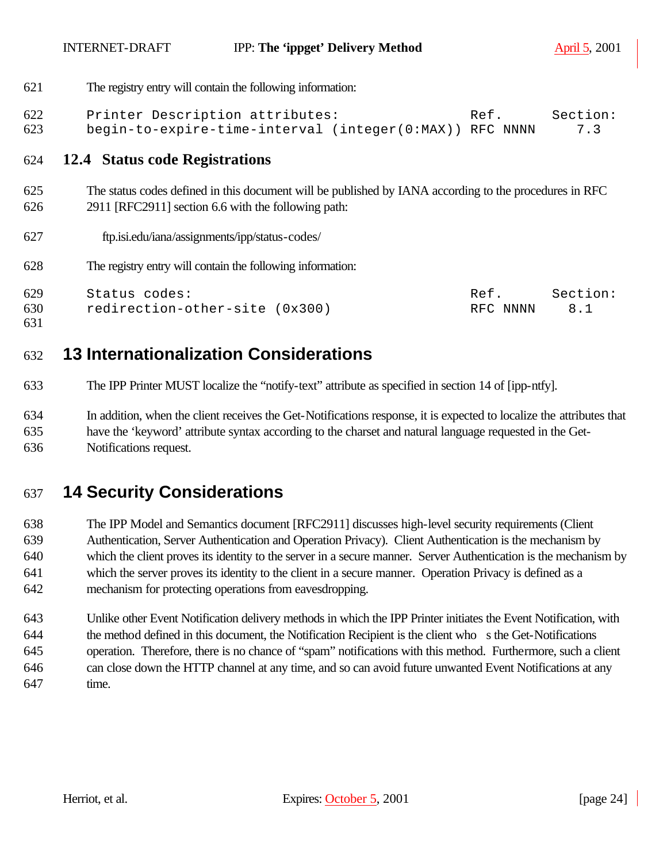The registry entry will contain the following information:

```
622 Printer Description attributes: Ref. Section:
623 begin-to-expire-time-interval (integer(0:MAX)) RFC NNNN 7.3
```
#### **12.4 Status code Registrations**

- The status codes defined in this document will be published by IANA according to the procedures in RFC 2911 [RFC2911] section 6.6 with the following path:
- ftp.isi.edu/iana/assignments/ipp/status-codes/
- The registry entry will contain the following information:

| 629 | Status codes:                  | Ref      | Section: |
|-----|--------------------------------|----------|----------|
| 630 | redirection-other-site (0x300) | RFC NNNN | 8.1      |

# **13 Internationalization Considerations**

- The IPP Printer MUST localize the "notify-text" attribute as specified in section 14 of [ipp-ntfy].
- In addition, when the client receives the Get-Notifications response, it is expected to localize the attributes that have the 'keyword' attribute syntax according to the charset and natural language requested in the Get-Notifications request.

# **14 Security Considerations**

 The IPP Model and Semantics document [RFC2911] discusses high-level security requirements (Client Authentication, Server Authentication and Operation Privacy). Client Authentication is the mechanism by which the client proves its identity to the server in a secure manner. Server Authentication is the mechanism by which the server proves its identity to the client in a secure manner. Operation Privacy is defined as a mechanism for protecting operations from eavesdropping.

 Unlike other Event Notification delivery methods in which the IPP Printer initiates the Event Notification, with the method defined in this document, the Notification Recipient is the client who s the Get-Notifications operation. Therefore, there is no chance of "spam" notifications with this method. Furthermore, such a client can close down the HTTP channel at any time, and so can avoid future unwanted Event Notifications at any time.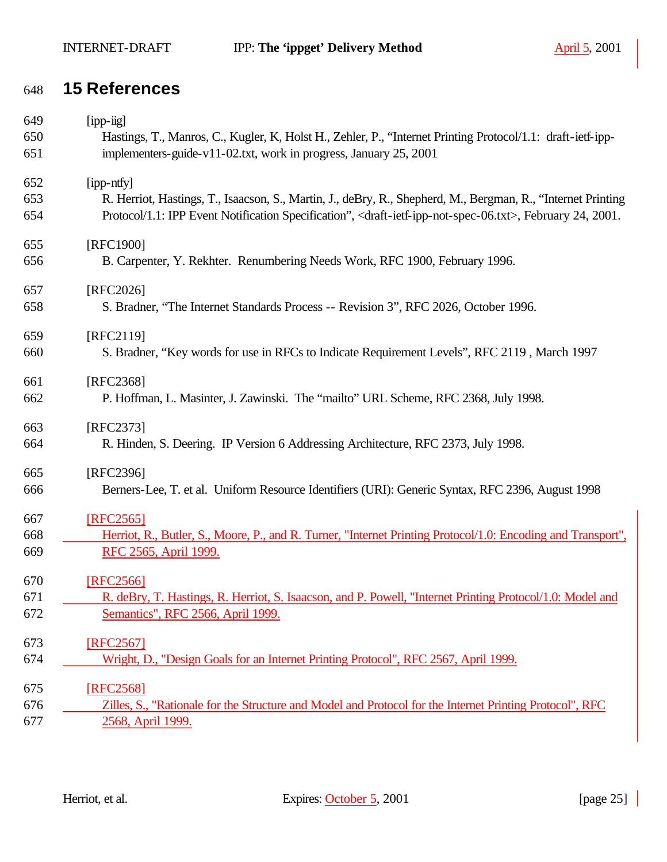# **15 References**

| 649 | $[$ ipp-iig]                                                                                                                               |
|-----|--------------------------------------------------------------------------------------------------------------------------------------------|
| 650 | Hastings, T., Manros, C., Kugler, K., Holst H., Zehler, P., "Internet Printing Protocol/1.1: draft-ietf-ipp-                               |
| 651 | implementers-guide-v11-02.txt, work in progress, January 25, 2001                                                                          |
| 652 | [ipp-ntfy]                                                                                                                                 |
| 653 | R. Herriot, Hastings, T., Isaacson, S., Martin, J., deBry, R., Shepherd, M., Bergman, R., "Internet Printing                               |
| 654 | Protocol/1.1: IPP Event Notification Specification", <draft-ietf-ipp-not-spec-06.txt>, February 24, 2001.</draft-ietf-ipp-not-spec-06.txt> |
| 655 | [RFC1900]                                                                                                                                  |
| 656 | B. Carpenter, Y. Rekhter. Renumbering Needs Work, RFC 1900, February 1996.                                                                 |
| 657 | [RFC2026]                                                                                                                                  |
| 658 | S. Bradner, "The Internet Standards Process -- Revision 3", RFC 2026, October 1996.                                                        |
| 659 | [RFC2119]                                                                                                                                  |
| 660 | S. Bradner, "Key words for use in RFCs to Indicate Requirement Levels", RFC 2119, March 1997                                               |
| 661 | [RFC2368]                                                                                                                                  |
| 662 | P. Hoffman, L. Masinter, J. Zawinski. The "mailto" URL Scheme, RFC 2368, July 1998.                                                        |
| 663 | [RFC2373]                                                                                                                                  |
| 664 | R. Hinden, S. Deering. IP Version 6 Addressing Architecture, RFC 2373, July 1998.                                                          |
| 665 | [RFC2396]                                                                                                                                  |
| 666 | Berners-Lee, T. et al. Uniform Resource Identifiers (URI): Generic Syntax, RFC 2396, August 1998                                           |
| 667 | [RFC2565]                                                                                                                                  |
| 668 | Herriot, R., Butler, S., Moore, P., and R. Turner, "Internet Printing Protocol/1.0: Encoding and Transport",                               |
| 669 | RFC 2565, April 1999.                                                                                                                      |
| 670 | [RFC2566]                                                                                                                                  |
| 671 | R. deBry, T. Hastings, R. Herriot, S. Isaacson, and P. Powell, "Internet Printing Protocol/1.0: Model and                                  |
| 672 | Semantics", RFC 2566, April 1999.                                                                                                          |
| 673 | [RFC2567]                                                                                                                                  |
| 674 | Wright, D., "Design Goals for an Internet Printing Protocol", RFC 2567, April 1999.                                                        |
| 675 | [RFC2568]                                                                                                                                  |
| 676 | Zilles, S., "Rationale for the Structure and Model and Protocol for the Internet Printing Protocol", RFC                                   |
| 677 | 2568, April 1999.                                                                                                                          |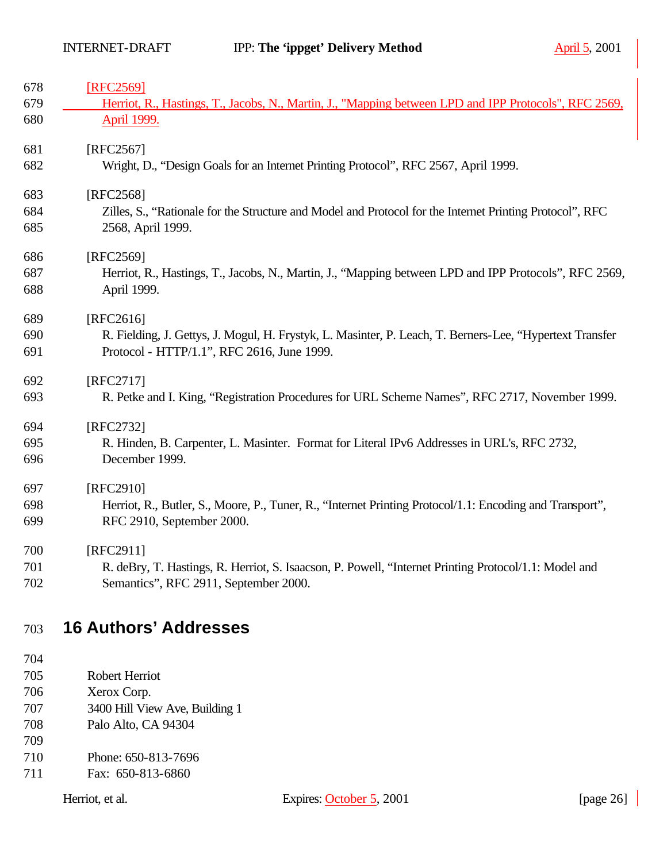| 678 | [RFC2569]                                                                                                |
|-----|----------------------------------------------------------------------------------------------------------|
| 679 | Herriot, R., Hastings, T., Jacobs, N., Martin, J., "Mapping between LPD and IPP Protocols", RFC 2569,    |
| 680 | April 1999.                                                                                              |
| 681 | [RFC2567]                                                                                                |
| 682 | Wright, D., "Design Goals for an Internet Printing Protocol", RFC 2567, April 1999.                      |
| 683 | [RFC2568]                                                                                                |
| 684 | Zilles, S., "Rationale for the Structure and Model and Protocol for the Internet Printing Protocol", RFC |
| 685 | 2568, April 1999.                                                                                        |
| 686 | [RFC2569]                                                                                                |
| 687 | Herriot, R., Hastings, T., Jacobs, N., Martin, J., "Mapping between LPD and IPP Protocols", RFC 2569,    |
| 688 | April 1999.                                                                                              |
| 689 | [RFC2616]                                                                                                |
| 690 | R. Fielding, J. Gettys, J. Mogul, H. Frystyk, L. Masinter, P. Leach, T. Berners-Lee, "Hypertext Transfer |
| 691 | Protocol - HTTP/1.1", RFC 2616, June 1999.                                                               |
| 692 | [RFC2717]                                                                                                |
| 693 | R. Petke and I. King, "Registration Procedures for URL Scheme Names", RFC 2717, November 1999.           |
| 694 | [RFC2732]                                                                                                |
| 695 | R. Hinden, B. Carpenter, L. Masinter. Format for Literal IPv6 Addresses in URL's, RFC 2732,              |
| 696 | December 1999.                                                                                           |
| 697 | [RFC2910]                                                                                                |
| 698 | Herriot, R., Butler, S., Moore, P., Tuner, R., "Internet Printing Protocol/1.1: Encoding and Transport", |
| 699 | RFC 2910, September 2000.                                                                                |
| 700 | [RFC2911]                                                                                                |
| 701 | R. deBry, T. Hastings, R. Herriot, S. Isaacson, P. Powell, "Internet Printing Protocol/1.1: Model and    |
| 702 | Semantics", RFC 2911, September 2000.                                                                    |

# **16 Authors' Addresses**

- Robert Herriot
- Xerox Corp.
- 3400 Hill View Ave, Building 1
- Palo Alto, CA 94304
- 
- Phone: 650-813-7696
- Fax: 650-813-6860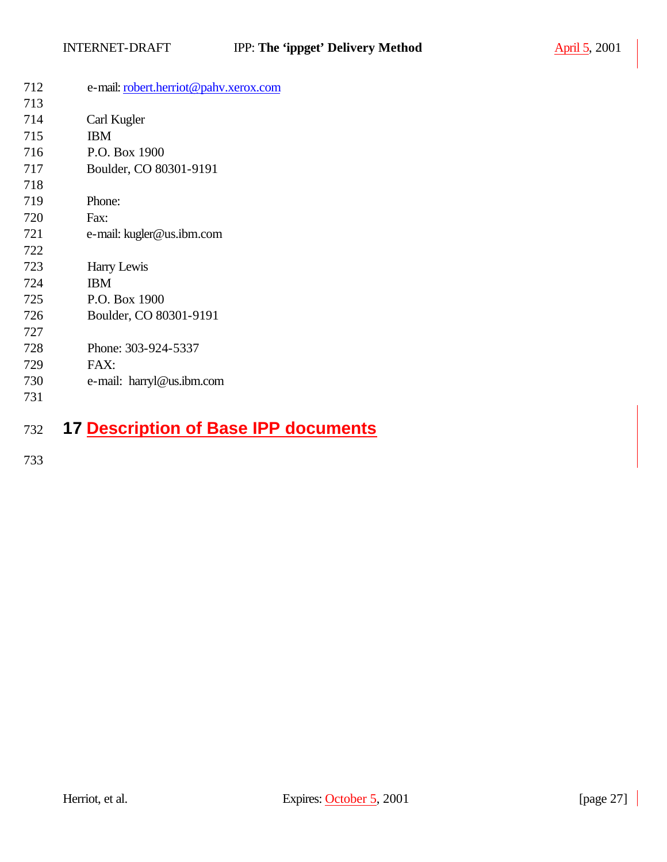| 712        | e-mail: robert.herriot@pahv.xerox.com |
|------------|---------------------------------------|
| 713        |                                       |
| 714        | Carl Kugler                           |
| 715        | <b>IBM</b>                            |
| 716        | P.O. Box 1900                         |
| 717        | Boulder, CO 80301-9191                |
| 718        |                                       |
| 719        | Phone:                                |
| 720        | Fax:                                  |
| 721        | e-mail: kugler@us.ibm.com             |
| 722        |                                       |
| 723        | Harry Lewis                           |
| 724        | <b>IBM</b>                            |
| 725        | P.O. Box 1900                         |
| 726        | Boulder, CO 80301-9191                |
| 727        |                                       |
| 728        | Phone: 303-924-5337                   |
| 729        | FAX:                                  |
| 730        | e-mail: harryl@us.ibm.com             |
| 731        |                                       |
| $\sqrt{2}$ | 7 Decerintion of Race IDD decuments   |

## **17 Description of Base IPP documents**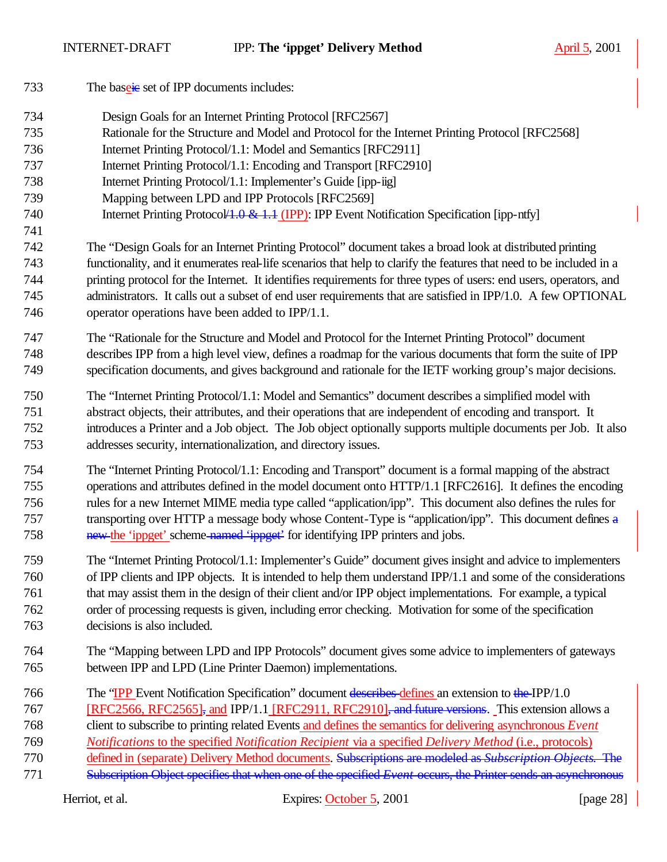733 The baseine set of IPP documents includes: Design Goals for an Internet Printing Protocol [RFC2567] Rationale for the Structure and Model and Protocol for the Internet Printing Protocol [RFC2568] Internet Printing Protocol/1.1: Model and Semantics [RFC2911] Internet Printing Protocol/1.1: Encoding and Transport [RFC2910] Internet Printing Protocol/1.1: Implementer's Guide [ipp-iig] Mapping between LPD and IPP Protocols [RFC2569] 740 Internet Printing Protocol 1.0 & 1.1 (IPP): IPP Event Notification Specification [ipp-ntfy] The "Design Goals for an Internet Printing Protocol" document takes a broad look at distributed printing functionality, and it enumerates real-life scenarios that help to clarify the features that need to be included in a printing protocol for the Internet. It identifies requirements for three types of users: end users, operators, and administrators. It calls out a subset of end user requirements that are satisfied in IPP/1.0. A few OPTIONAL operator operations have been added to IPP/1.1. The "Rationale for the Structure and Model and Protocol for the Internet Printing Protocol" document describes IPP from a high level view, defines a roadmap for the various documents that form the suite of IPP specification documents, and gives background and rationale for the IETF working group's major decisions. The "Internet Printing Protocol/1.1: Model and Semantics" document describes a simplified model with abstract objects, their attributes, and their operations that are independent of encoding and transport. It introduces a Printer and a Job object. The Job object optionally supports multiple documents per Job. It also addresses security, internationalization, and directory issues. The "Internet Printing Protocol/1.1: Encoding and Transport" document is a formal mapping of the abstract operations and attributes defined in the model document onto HTTP/1.1 [RFC2616]. It defines the encoding rules for a new Internet MIME media type called "application/ipp". This document also defines the rules for 757 transporting over HTTP a message body whose Content-Type is "application/ipp". This document defines a 758 new the 'ippget' scheme-named 'ippget' for identifying IPP printers and jobs. The "Internet Printing Protocol/1.1: Implementer's Guide" document gives insight and advice to implementers of IPP clients and IPP objects. It is intended to help them understand IPP/1.1 and some of the considerations that may assist them in the design of their client and/or IPP object implementations. For example, a typical order of processing requests is given, including error checking. Motivation for some of the specification decisions is also included. The "Mapping between LPD and IPP Protocols" document gives some advice to implementers of gateways between IPP and LPD (Line Printer Daemon) implementations. 766 The "IPP Event Notification Specification" document describes defines an extension to the IPP/1.0 767 [RFC2566, RFC2565], and IPP/1.1 [RFC2911, RFC2910], and future versions. This extension allows a client to subscribe to printing related Events and defines the semantics for delivering asynchronous *Event Notifications* to the specified *Notification Recipient* via a specified *Delivery Method* (i.e., protocols) defined in (separate) Delivery Method documents. Subscriptions are modeled as *Subscription Objects*. The Subscription Object specifies that when one of the specified *Event* occurs, the Printer sends an asynchronous